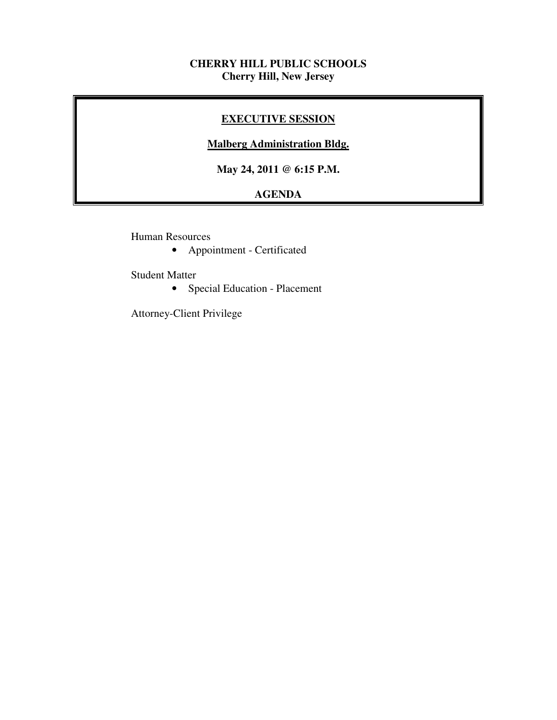## **CHERRY HILL PUBLIC SCHOOLS Cherry Hill, New Jersey**

## **EXECUTIVE SESSION**

## **Malberg Administration Bldg.**

 **May 24, 2011 @ 6:15 P.M.** 

# **AGENDA**

Human Resources

• Appointment - Certificated

Student Matter

• Special Education - Placement

Attorney-Client Privilege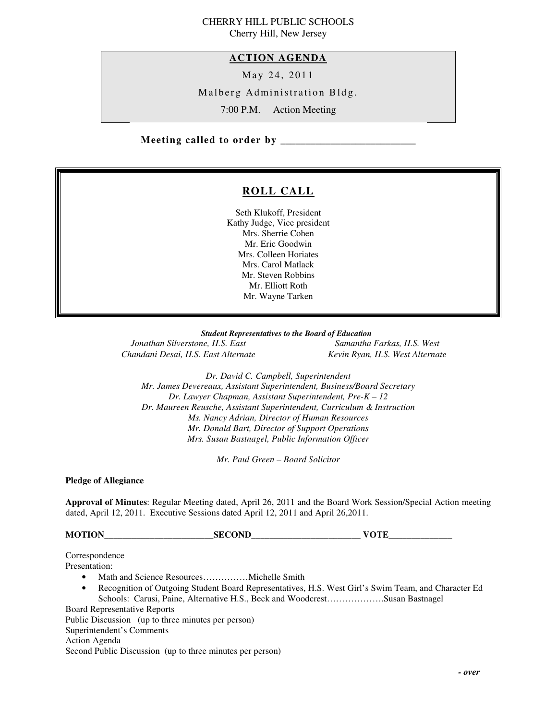# CHERRY HILL PUBLIC SCHOOLS

Cherry Hill, New Jersey

## **ACTION AGENDA**

May 24, 2011

Malberg Administration Bldg.

7:00 P.M. Action Meeting

 **Meeting called to order by \_\_\_\_\_\_\_\_\_\_\_\_\_\_\_\_\_\_\_\_\_\_\_\_\_\_\_** 

# **ROLL CALL**

 Seth Klukoff, President Kathy Judge, Vice president Mrs. Sherrie Cohen Mr. Eric Goodwin Mrs. Colleen Horiates Mrs. Carol Matlack Mr. Steven Robbins Mr. Elliott Roth Mr. Wayne Tarken

#### *Student Representatives to the Board of Education*

**Jonathan Silverstone, H.S. East** Chandani Desai, H.S. East Alternate Kevin Ryan, H.S. West Alternate

*Samantha Farkas, H.S. West* 

 *Dr. David C. Campbell, Superintendent Mr. James Devereaux, Assistant Superintendent, Business/Board Secretary Dr. Lawyer Chapman, Assistant Superintendent, Pre-K – 12 Dr. Maureen Reusche, Assistant Superintendent, Curriculum & Instruction Ms. Nancy Adrian, Director of Human Resources Mr. Donald Bart, Director of Support Operations Mrs. Susan Bastnagel, Public Information Officer* 

 *Mr. Paul Green – Board Solicitor* 

 **Pledge of Allegiance** 

 **Approval of Minutes**: Regular Meeting dated, April 26, 2011 and the Board Work Session/Special Action meeting dated, April 12, 2011. Executive Sessions dated April 12, 2011 and April 26,2011.

**MOTION\_\_\_\_\_\_\_\_\_\_\_\_\_\_\_\_\_\_\_\_\_\_\_\_SECOND\_\_\_\_\_\_\_\_\_\_\_\_\_\_\_\_\_\_\_\_\_\_\_\_ VOTE\_\_\_\_\_\_\_\_\_\_\_\_\_\_** 

Correspondence

Presentation:

- Presentation:<br>• Math and Science Resources...............Michelle Smith
	- • Recognition of Outgoing Student Board Representatives, H.S. West Girl's Swim Team, and Character Ed Schools: Carusi, Paine, Alternative H.S., Beck and Woodcrest……………….Susan Bastnagel

Board Representative Reports

 Public Discussion (up to three minutes per person) Superintendent's Comments

Action Agenda

Second Public Discussion (up to three minutes per person)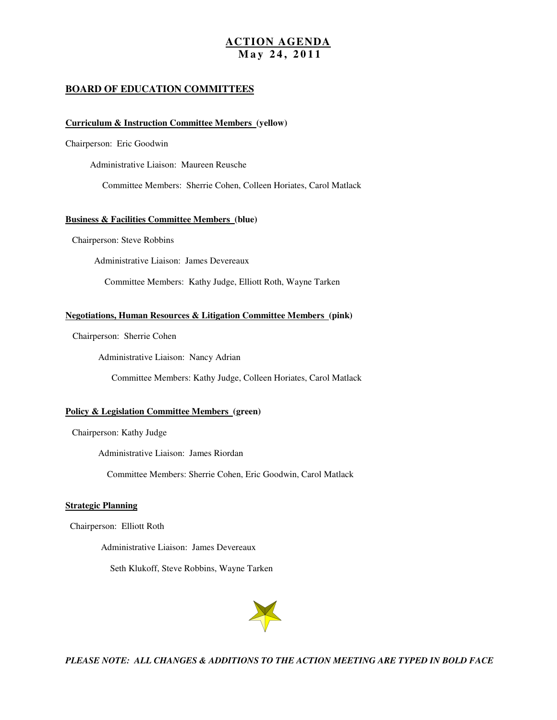#### **ACTION AGENDA M a y 2 4 , 2 0 1 1**

#### **BOARD OF EDUCATION COMMITTEES**

#### **Curriculum & Instruction Committee Members (yellow)**

Chairperson: Eric Goodwin

Administrative Liaison: Maureen Reusche

Committee Members: Sherrie Cohen, Colleen Horiates, Carol Matlack

#### **Business & Facilities Committee Members (blue)**

Chairperson: Steve Robbins

Administrative Liaison: James Devereaux

Committee Members: Kathy Judge, Elliott Roth, Wayne Tarken

#### **Negotiations, Human Resources & Litigation Committee Members (pink)**

Chairperson: Sherrie Cohen

Administrative Liaison: Nancy Adrian

Committee Members: Kathy Judge, Colleen Horiates, Carol Matlack

#### **Policy & Legislation Committee Members (green)**

Chairperson: Kathy Judge

Administrative Liaison: James Riordan

Committee Members: Sherrie Cohen, Eric Goodwin, Carol Matlack

#### **Strategic Planning**

Chairperson: Elliott Roth

Administrative Liaison: James Devereaux

Seth Klukoff, Steve Robbins, Wayne Tarken



 *PLEASE NOTE: ALL CHANGES & ADDITIONS TO THE ACTION MEETING ARE TYPED IN BOLD FACE*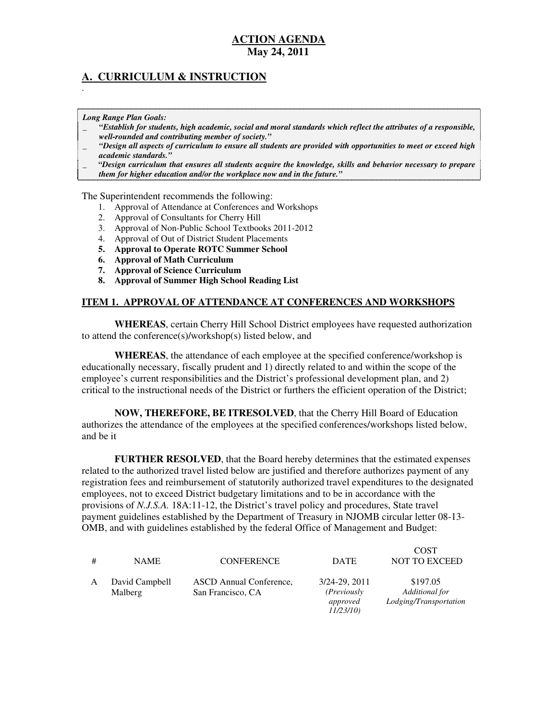# **May 24, 2011 ACTION AGENDA**

## **A. CURRICULUM & INSTRUCTION**

 *Long Range Plan Goals:* 

.

- \_ *"Establish for students, high academic, social and moral standards which reflect the attributes of a responsible, well-rounded and contributing member of society."*
- \_ *"Design all aspects of curriculum to ensure all students are provided with opportunities to meet or exceed high academic standards."*
- \_ *"Design curriculum that ensures all students acquire the knowledge, skills and behavior necessary to prepare them for higher education and/or the workplace now and in the future."*

The Superintendent recommends the following:

- 1. Approval of Attendance at Conferences and Workshops
- 2. Approval of Consultants for Cherry Hill
- 3. Approval of Non-Public School Textbooks 2011-2012
- 4. Approval of Out of District Student Placements
- **5. Approval to Operate ROTC Summer School**
- **6. Approval of Math Curriculum**
- **7. Approval of Science Curriculum**
- **8. Approval of Summer High School Reading List**

#### **ITEM 1. APPROVAL OF ATTENDANCE AT CONFERENCES AND WORKSHOPS**

 **WHEREAS**, certain Cherry Hill School District employees have requested authorization to attend the conference(s)/workshop(s) listed below, and

 **WHEREAS**, the attendance of each employee at the specified conference/workshop is educationally necessary, fiscally prudent and 1) directly related to and within the scope of the employee's current responsibilities and the District's professional development plan, and 2) critical to the instructional needs of the District or furthers the efficient operation of the District;

 **NOW, THEREFORE, BE ITRESOLVED**, that the Cherry Hill Board of Education authorizes the attendance of the employees at the specified conferences/workshops listed below, and be it

 **FURTHER RESOLVED**, that the Board hereby determines that the estimated expenses related to the authorized travel listed below are justified and therefore authorizes payment of any registration fees and reimbursement of statutorily authorized travel expenditures to the designated employees, not to exceed District budgetary limitations and to be in accordance with the provisions of *N.J.S.A.* 18A:11-12, the District's travel policy and procedures, State travel payment guidelines established by the Department of Treasury in NJOMB circular letter 08-13 OMB, and with guidelines established by the federal Office of Management and Budget:

| # | <b>NAME</b>               | <b>CONFERENCE</b>                            | <b>DATE</b>                                                  | <b>COST</b><br><b>NOT TO EXCEED</b>                  |
|---|---------------------------|----------------------------------------------|--------------------------------------------------------------|------------------------------------------------------|
| A | David Campbell<br>Malberg | ASCD Annual Conference,<br>San Francisco, CA | 3/24-29, 2011<br>( <i>Previously</i><br>approved<br>11/23/10 | \$197.05<br>Additional for<br>Lodging/Transportation |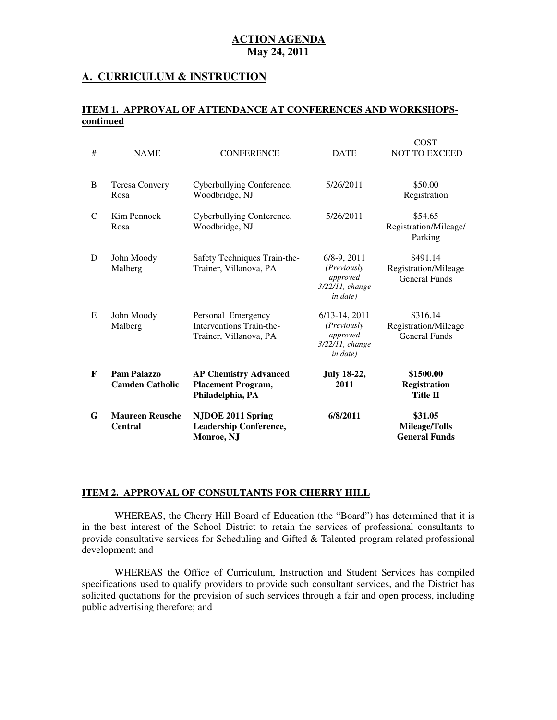#### **A. CURRICULUM & INSTRUCTION**

#### **ITEM 1. APPROVAL OF ATTENDANCE AT CONFERENCES AND WORKSHOPScontinued**

| G | <b>Maureen Reusche</b><br><b>Central</b> | NJDOE 2011 Spring<br><b>Leadership Conference,</b><br>Monroe, NJ              | 6/8/2011                                                                   | \$31.05<br><b>Mileage/Tolls</b><br><b>General Funds</b>  |
|---|------------------------------------------|-------------------------------------------------------------------------------|----------------------------------------------------------------------------|----------------------------------------------------------|
| F | Pam Palazzo<br><b>Camden Catholic</b>    | <b>AP Chemistry Advanced</b><br><b>Placement Program,</b><br>Philadelphia, PA | <b>July 18-22,</b><br>2011                                                 | \$1500.00<br><b>Registration</b><br><b>Title II</b>      |
| E | John Moody<br>Malberg                    | Personal Emergency<br>Interventions Train-the-<br>Trainer, Villanova, PA      | $6/13-14$ , 2011<br>(Previously<br>approved<br>3/22/11, change<br>in date) | \$316.14<br>Registration/Mileage<br><b>General Funds</b> |
| D | John Moody<br>Malberg                    | Safety Techniques Train-the-<br>Trainer, Villanova, PA                        | $6/8-9, 2011$<br>(Previously<br>approved<br>3/22/11, change<br>in date)    | \$491.14<br>Registration/Mileage<br><b>General Funds</b> |
| C | Kim Pennock<br>Rosa                      | Cyberbullying Conference,<br>Woodbridge, NJ                                   | 5/26/2011                                                                  | \$54.65<br>Registration/Mileage/<br>Parking              |
| B | <b>Teresa Convery</b><br>Rosa            | Cyberbullying Conference,<br>Woodbridge, NJ                                   | 5/26/2011                                                                  | \$50.00<br>Registration                                  |
| # | <b>NAME</b>                              | <b>CONFERENCE</b>                                                             | <b>DATE</b>                                                                | <b>COST</b><br><b>NOT TO EXCEED</b>                      |

#### **ITEM 2. APPROVAL OF CONSULTANTS FOR CHERRY HILL**

 WHEREAS, the Cherry Hill Board of Education (the "Board") has determined that it is in the best interest of the School District to retain the services of professional consultants to provide consultative services for Scheduling and Gifted & Talented program related professional development; and

 WHEREAS the Office of Curriculum, Instruction and Student Services has compiled specifications used to qualify providers to provide such consultant services, and the District has solicited quotations for the provision of such services through a fair and open process, including public advertising therefore; and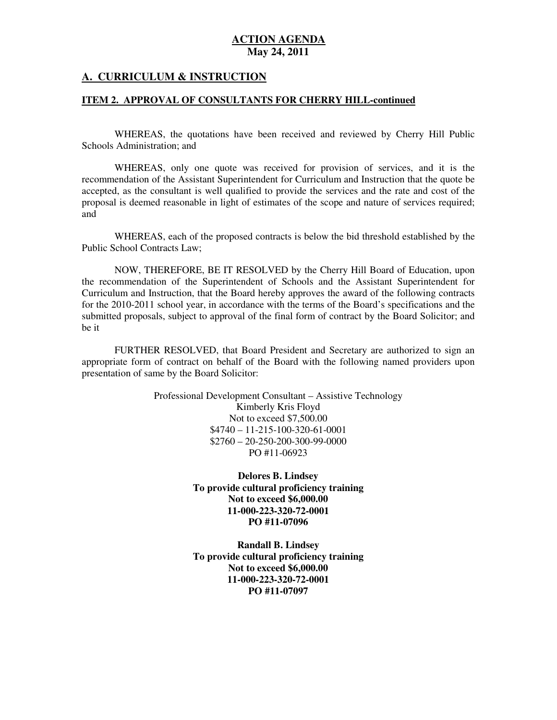#### **A. CURRICULUM & INSTRUCTION**

#### **ITEM 2. APPROVAL OF CONSULTANTS FOR CHERRY HILL-continued**

 WHEREAS, the quotations have been received and reviewed by Cherry Hill Public Schools Administration; and

 WHEREAS, only one quote was received for provision of services, and it is the recommendation of the Assistant Superintendent for Curriculum and Instruction that the quote be accepted, as the consultant is well qualified to provide the services and the rate and cost of the proposal is deemed reasonable in light of estimates of the scope and nature of services required; and

 WHEREAS, each of the proposed contracts is below the bid threshold established by the Public School Contracts Law;

 NOW, THEREFORE, BE IT RESOLVED by the Cherry Hill Board of Education, upon the recommendation of the Superintendent of Schools and the Assistant Superintendent for Curriculum and Instruction, that the Board hereby approves the award of the following contracts for the 2010-2011 school year, in accordance with the terms of the Board's specifications and the submitted proposals, subject to approval of the final form of contract by the Board Solicitor; and be it

 FURTHER RESOLVED, that Board President and Secretary are authorized to sign an appropriate form of contract on behalf of the Board with the following named providers upon presentation of same by the Board Solicitor:

> Professional Development Consultant – Assistive Technology Kimberly Kris Floyd Not to exceed \$7,500.00 \$4740 – 11-215-100-320-61-0001 \$2760 – 20-250-200-300-99-0000 PO #11-06923

> > **Delores B. Lindsey To provide cultural proficiency training Not to exceed \$6,000.00 PO #11-07096 11-000-223-320-72-0001**

> > **Randall B. Lindsey To provide cultural proficiency training Not to exceed \$6,000.00 PO #11-07097 11-000-223-320-72-0001**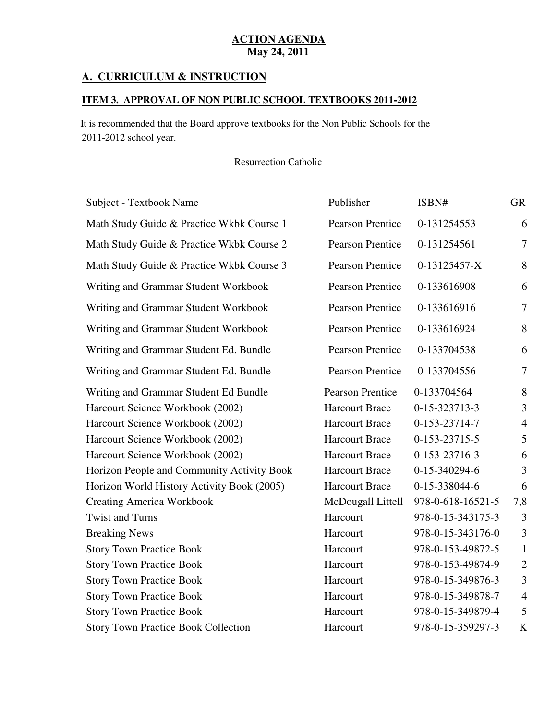#### **A. CURRICULUM & INSTRUCTION**

#### **ITEM 3. APPROVAL OF NON PUBLIC SCHOOL TEXTBOOKS 2011-2012**

 2011-2012 school year. It is recommended that the Board approve textbooks for the Non Public Schools for the

Resurrection Catholic

| Subject - Textbook Name                    | Publisher               | ISBN#             | <b>GR</b>      |
|--------------------------------------------|-------------------------|-------------------|----------------|
| Math Study Guide & Practice Wkbk Course 1  | <b>Pearson Prentice</b> | 0-131254553       | 6              |
| Math Study Guide & Practice Wkbk Course 2  | <b>Pearson Prentice</b> | 0-131254561       | $\overline{7}$ |
| Math Study Guide & Practice Wkbk Course 3  | <b>Pearson Prentice</b> | 0-13125457-X      | 8              |
| Writing and Grammar Student Workbook       | <b>Pearson Prentice</b> | 0-133616908       | 6              |
| Writing and Grammar Student Workbook       | <b>Pearson Prentice</b> | 0-133616916       | $\overline{7}$ |
| Writing and Grammar Student Workbook       | <b>Pearson Prentice</b> | 0-133616924       | 8              |
| Writing and Grammar Student Ed. Bundle     | <b>Pearson Prentice</b> | 0-133704538       | 6              |
| Writing and Grammar Student Ed. Bundle     | <b>Pearson Prentice</b> | 0-133704556       | $\overline{7}$ |
| Writing and Grammar Student Ed Bundle      | <b>Pearson Prentice</b> | 0-133704564       | 8              |
| Harcourt Science Workbook (2002)           | <b>Harcourt Brace</b>   | 0-15-323713-3     | 3              |
| Harcourt Science Workbook (2002)           | <b>Harcourt Brace</b>   | 0-153-23714-7     | $\overline{4}$ |
| Harcourt Science Workbook (2002)           | <b>Harcourt Brace</b>   | 0-153-23715-5     | 5              |
| Harcourt Science Workbook (2002)           | <b>Harcourt Brace</b>   | 0-153-23716-3     | 6              |
| Horizon People and Community Activity Book | <b>Harcourt Brace</b>   | 0-15-340294-6     | 3              |
| Horizon World History Activity Book (2005) | <b>Harcourt Brace</b>   | 0-15-338044-6     | 6              |
| <b>Creating America Workbook</b>           | McDougall Littell       | 978-0-618-16521-5 | 7,8            |
| <b>Twist and Turns</b>                     | Harcourt                | 978-0-15-343175-3 | 3              |
| <b>Breaking News</b>                       | Harcourt                | 978-0-15-343176-0 | $\mathfrak{Z}$ |
| <b>Story Town Practice Book</b>            | Harcourt                | 978-0-153-49872-5 | $\mathbf{1}$   |
| <b>Story Town Practice Book</b>            | Harcourt                | 978-0-153-49874-9 | $\sqrt{2}$     |
| <b>Story Town Practice Book</b>            | Harcourt                | 978-0-15-349876-3 | 3              |
| <b>Story Town Practice Book</b>            | Harcourt                | 978-0-15-349878-7 | $\overline{4}$ |
| <b>Story Town Practice Book</b>            | Harcourt                | 978-0-15-349879-4 | 5              |
| <b>Story Town Practice Book Collection</b> | Harcourt                | 978-0-15-359297-3 | K              |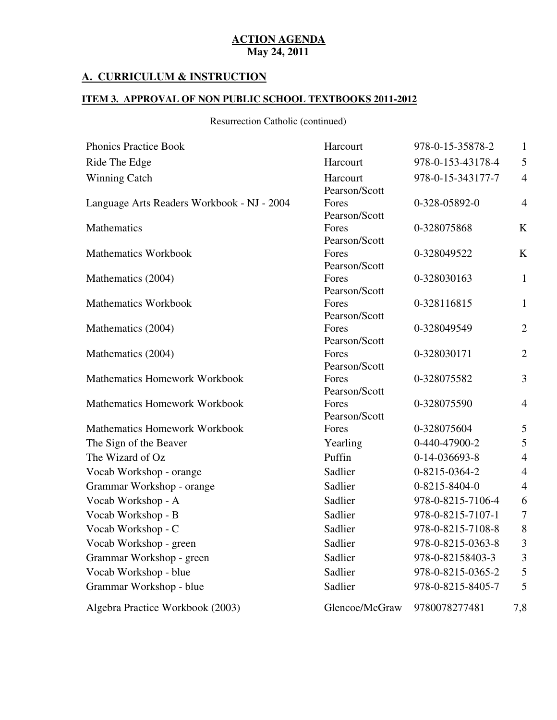#### **A. CURRICULUM & INSTRUCTION**

#### **ITEM 3. APPROVAL OF NON PUBLIC SCHOOL TEXTBOOKS 2011-2012**

Resurrection Catholic (continued)

| <b>Phonics Practice Book</b>               | Harcourt               | 978-0-15-35878-2  | $\mathbf{1}$   |
|--------------------------------------------|------------------------|-------------------|----------------|
| Ride The Edge                              | Harcourt               | 978-0-153-43178-4 | 5              |
| <b>Winning Catch</b>                       | Harcourt               | 978-0-15-343177-7 | $\overline{4}$ |
|                                            | Pearson/Scott          |                   |                |
| Language Arts Readers Workbook - NJ - 2004 | Fores                  | 0-328-05892-0     | $\overline{4}$ |
|                                            | Pearson/Scott          |                   |                |
| Mathematics                                | Fores                  | 0-328075868       | K              |
|                                            | Pearson/Scott          |                   |                |
| <b>Mathematics Workbook</b>                | Fores<br>Pearson/Scott | 0-328049522       | K              |
| Mathematics (2004)                         | Fores                  | 0-328030163       | $\mathbf{1}$   |
|                                            | Pearson/Scott          |                   |                |
| <b>Mathematics Workbook</b>                | Fores                  | 0-328116815       | $\mathbf{1}$   |
|                                            | Pearson/Scott          |                   |                |
| Mathematics (2004)                         | Fores                  | 0-328049549       | $\overline{2}$ |
|                                            | Pearson/Scott          |                   |                |
| Mathematics (2004)                         | Fores                  | 0-328030171       | $\overline{2}$ |
|                                            | Pearson/Scott          |                   |                |
| Mathematics Homework Workbook              | Fores                  | 0-328075582       | 3              |
|                                            | Pearson/Scott          |                   |                |
| Mathematics Homework Workbook              | Fores                  | 0-328075590       | $\overline{4}$ |
|                                            | Pearson/Scott          |                   |                |
| <b>Mathematics Homework Workbook</b>       | Fores                  | 0-328075604       | 5              |
| The Sign of the Beaver                     | Yearling               | 0-440-47900-2     | 5              |
| The Wizard of Oz                           | Puffin                 | 0-14-036693-8     | $\overline{4}$ |
| Vocab Workshop - orange                    | Sadlier                | 0-8215-0364-2     | $\overline{4}$ |
| Grammar Workshop - orange                  | Sadlier                | 0-8215-8404-0     | $\overline{4}$ |
| Vocab Workshop - A                         | Sadlier                | 978-0-8215-7106-4 | 6              |
| Vocab Workshop - B                         | Sadlier                | 978-0-8215-7107-1 | $\overline{7}$ |
| Vocab Workshop - C                         | Sadlier                | 978-0-8215-7108-8 | $8\,$          |
| Vocab Workshop - green                     | Sadlier                | 978-0-8215-0363-8 | $\mathfrak{Z}$ |
| Grammar Workshop - green                   | Sadlier                | 978-0-82158403-3  | 3              |
| Vocab Workshop - blue                      | Sadlier                | 978-0-8215-0365-2 | 5              |
| Grammar Workshop - blue                    | Sadlier                | 978-0-8215-8405-7 | 5              |
| Algebra Practice Workbook (2003)           | Glencoe/McGraw         | 9780078277481     | 7,8            |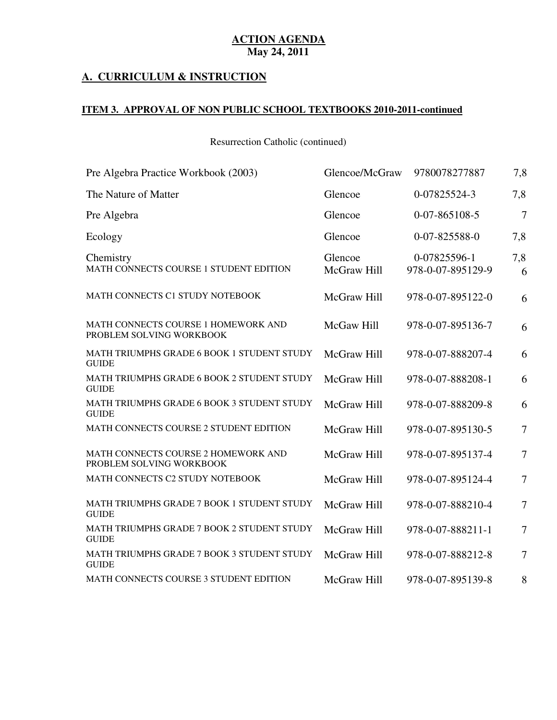## **A. CURRICULUM & INSTRUCTION**

#### **ITEM 3. APPROVAL OF NON PUBLIC SCHOOL TEXTBOOKS 2010-2011-continued**

Resurrection Catholic (continued)

| Pre Algebra Practice Workbook (2003)                            | Glencoe/McGraw         | 9780078277887                     | 7,8            |
|-----------------------------------------------------------------|------------------------|-----------------------------------|----------------|
| The Nature of Matter                                            | Glencoe                | 0-07825524-3                      | 7,8            |
| Pre Algebra                                                     | Glencoe                | 0-07-865108-5                     | $\overline{7}$ |
| Ecology                                                         | Glencoe                | 0-07-825588-0                     | 7,8            |
| Chemistry<br>MATH CONNECTS COURSE 1 STUDENT EDITION             | Glencoe<br>McGraw Hill | 0-07825596-1<br>978-0-07-895129-9 | 7,8<br>6       |
| MATH CONNECTS C1 STUDY NOTEBOOK                                 | McGraw Hill            | 978-0-07-895122-0                 | 6              |
| MATH CONNECTS COURSE 1 HOMEWORK AND<br>PROBLEM SOLVING WORKBOOK | McGaw Hill             | 978-0-07-895136-7                 | 6              |
| MATH TRIUMPHS GRADE 6 BOOK 1 STUDENT STUDY<br><b>GUIDE</b>      | McGraw Hill            | 978-0-07-888207-4                 | 6              |
| MATH TRIUMPHS GRADE 6 BOOK 2 STUDENT STUDY<br><b>GUIDE</b>      | McGraw Hill            | 978-0-07-888208-1                 | 6              |
| MATH TRIUMPHS GRADE 6 BOOK 3 STUDENT STUDY<br><b>GUIDE</b>      | McGraw Hill            | 978-0-07-888209-8                 | 6              |
| MATH CONNECTS COURSE 2 STUDENT EDITION                          | McGraw Hill            | 978-0-07-895130-5                 | 7              |
| MATH CONNECTS COURSE 2 HOMEWORK AND<br>PROBLEM SOLVING WORKBOOK | McGraw Hill            | 978-0-07-895137-4                 | $\overline{7}$ |
| MATH CONNECTS C2 STUDY NOTEBOOK                                 | McGraw Hill            | 978-0-07-895124-4                 | $\overline{7}$ |
| MATH TRIUMPHS GRADE 7 BOOK 1 STUDENT STUDY<br><b>GUIDE</b>      | McGraw Hill            | 978-0-07-888210-4                 | $\overline{7}$ |
| MATH TRIUMPHS GRADE 7 BOOK 2 STUDENT STUDY<br><b>GUIDE</b>      | McGraw Hill            | 978-0-07-888211-1                 | $\tau$         |
| MATH TRIUMPHS GRADE 7 BOOK 3 STUDENT STUDY<br><b>GUIDE</b>      | McGraw Hill            | 978-0-07-888212-8                 | $\overline{7}$ |
| MATH CONNECTS COURSE 3 STUDENT EDITION                          | McGraw Hill            | 978-0-07-895139-8                 | 8              |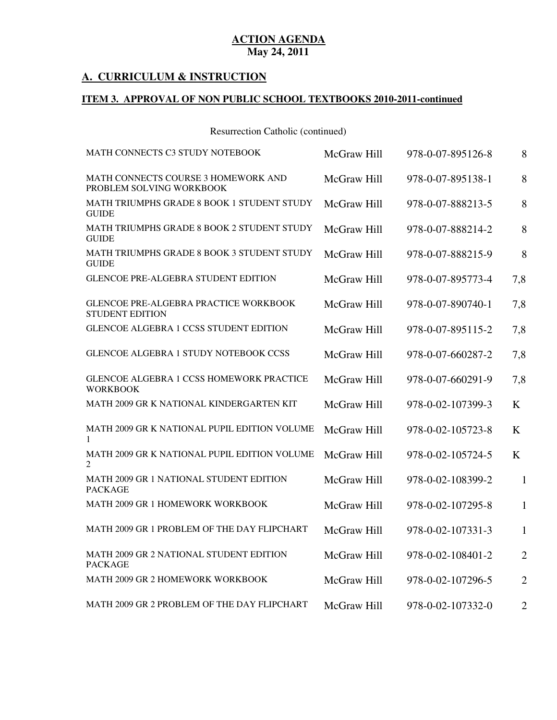### **A. CURRICULUM & INSTRUCTION**

#### **ITEM 3. APPROVAL OF NON PUBLIC SCHOOL TEXTBOOKS 2010-2011-continued**

Resurrection Catholic (continued)

| MATH CONNECTS C3 STUDY NOTEBOOK                                    | McGraw Hill | 978-0-07-895126-8 | 8              |
|--------------------------------------------------------------------|-------------|-------------------|----------------|
| MATH CONNECTS COURSE 3 HOMEWORK AND<br>PROBLEM SOLVING WORKBOOK    | McGraw Hill | 978-0-07-895138-1 | 8              |
| MATH TRIUMPHS GRADE 8 BOOK 1 STUDENT STUDY<br><b>GUIDE</b>         | McGraw Hill | 978-0-07-888213-5 | 8              |
| MATH TRIUMPHS GRADE 8 BOOK 2 STUDENT STUDY<br><b>GUIDE</b>         | McGraw Hill | 978-0-07-888214-2 | 8              |
| <b>MATH TRIUMPHS GRADE 8 BOOK 3 STUDENT STUDY</b><br><b>GUIDE</b>  | McGraw Hill | 978-0-07-888215-9 | 8              |
| <b>GLENCOE PRE-ALGEBRA STUDENT EDITION</b>                         | McGraw Hill | 978-0-07-895773-4 | 7,8            |
| GLENCOE PRE-ALGEBRA PRACTICE WORKBOOK<br><b>STUDENT EDITION</b>    | McGraw Hill | 978-0-07-890740-1 | 7,8            |
| <b>GLENCOE ALGEBRA 1 CCSS STUDENT EDITION</b>                      | McGraw Hill | 978-0-07-895115-2 | 7,8            |
| <b>GLENCOE ALGEBRA 1 STUDY NOTEBOOK CCSS</b>                       | McGraw Hill | 978-0-07-660287-2 | 7,8            |
| <b>GLENCOE ALGEBRA 1 CCSS HOMEWORK PRACTICE</b><br><b>WORKBOOK</b> | McGraw Hill | 978-0-07-660291-9 | 7,8            |
| MATH 2009 GR K NATIONAL KINDERGARTEN KIT                           | McGraw Hill | 978-0-02-107399-3 | K              |
| MATH 2009 GR K NATIONAL PUPIL EDITION VOLUME<br>1                  | McGraw Hill | 978-0-02-105723-8 | K              |
| MATH 2009 GR K NATIONAL PUPIL EDITION VOLUME<br>2                  | McGraw Hill | 978-0-02-105724-5 | K              |
| MATH 2009 GR 1 NATIONAL STUDENT EDITION<br><b>PACKAGE</b>          | McGraw Hill | 978-0-02-108399-2 | 1              |
| MATH 2009 GR 1 HOMEWORK WORKBOOK                                   | McGraw Hill | 978-0-02-107295-8 | 1              |
| MATH 2009 GR 1 PROBLEM OF THE DAY FLIPCHART                        | McGraw Hill | 978-0-02-107331-3 | $\mathbf{1}$   |
| MATH 2009 GR 2 NATIONAL STUDENT EDITION<br><b>PACKAGE</b>          | McGraw Hill | 978-0-02-108401-2 | $\overline{2}$ |
| MATH 2009 GR 2 HOMEWORK WORKBOOK                                   | McGraw Hill | 978-0-02-107296-5 | $\overline{2}$ |
| MATH 2009 GR 2 PROBLEM OF THE DAY FLIPCHART                        | McGraw Hill | 978-0-02-107332-0 | $\overline{2}$ |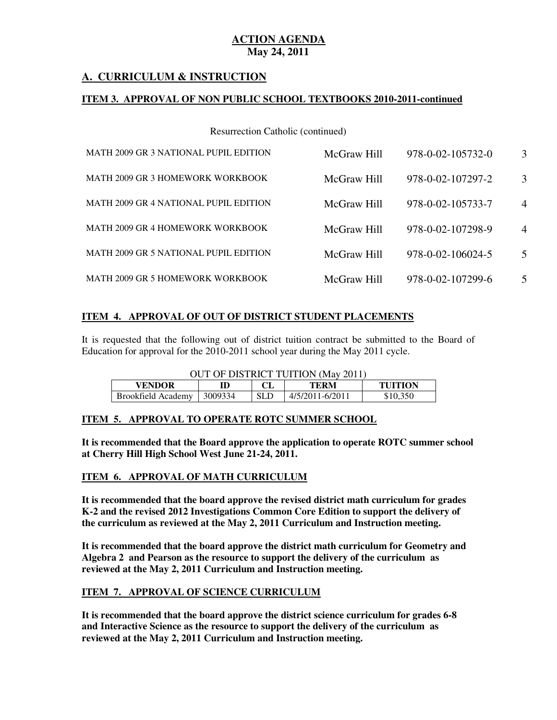## **A. CURRICULUM & INSTRUCTION**

#### **ITEM 3. APPROVAL OF NON PUBLIC SCHOOL TEXTBOOKS 2010-2011-continued**

Resurrection Catholic (continued)

| MATH 2009 GR 3 NATIONAL PUPIL EDITION | McGraw Hill | 978-0-02-105732-0 | 3              |
|---------------------------------------|-------------|-------------------|----------------|
| MATH 2009 GR 3 HOMEWORK WORKBOOK      | McGraw Hill | 978-0-02-107297-2 | 3              |
| MATH 2009 GR 4 NATIONAL PUPIL EDITION | McGraw Hill | 978-0-02-105733-7 | $\overline{4}$ |
| MATH 2009 GR 4 HOMEWORK WORKBOOK      | McGraw Hill | 978-0-02-107298-9 | $\overline{4}$ |
| MATH 2009 GR 5 NATIONAL PUPIL EDITION | McGraw Hill | 978-0-02-106024-5 | 5              |
| MATH 2009 GR 5 HOMEWORK WORKBOOK      | McGraw Hill | 978-0-02-107299-6 | 5              |

## **ITEM 4. APPROVAL OF OUT OF DISTRICT STUDENT PLACEMENTS**

 It is requested that the following out of district tuition contract be submitted to the Board of Education for approval for the 2010-2011 school year during the May 2011 cycle.

| OUT OF DISTRICT TUITION (May 2011) |  |            |                 |                |
|------------------------------------|--|------------|-----------------|----------------|
| <b>VENDOR</b>                      |  |            | TERM            | <b>TUITION</b> |
| Brookfield Academy   3009334       |  | <b>SLD</b> | 4/5/2011-6/2011 | \$10,350       |

#### **ITEM 5. APPROVAL TO OPERATE ROTC SUMMER SCHOOL**

 **It is recommended that the Board approve the application to operate ROTC summer school at Cherry Hill High School West June 21-24, 2011.** 

#### **ITEM 6. APPROVAL OF MATH CURRICULUM**

 **It is recommended that the board approve the revised district math curriculum for grades K-2 and the revised 2012 Investigations Common Core Edition to support the delivery of the curriculum as reviewed at the May 2, 2011 Curriculum and Instruction meeting.** 

 **It is recommended that the board approve the district math curriculum for Geometry and Algebra 2 and Pearson as the resource to support the delivery of the curriculum as reviewed at the May 2, 2011 Curriculum and Instruction meeting.** 

#### **ITEM 7. APPROVAL OF SCIENCE CURRICULUM**

 **It is recommended that the board approve the district science curriculum for grades 6-8 and Interactive Science as the resource to support the delivery of the curriculum as reviewed at the May 2, 2011 Curriculum and Instruction meeting.**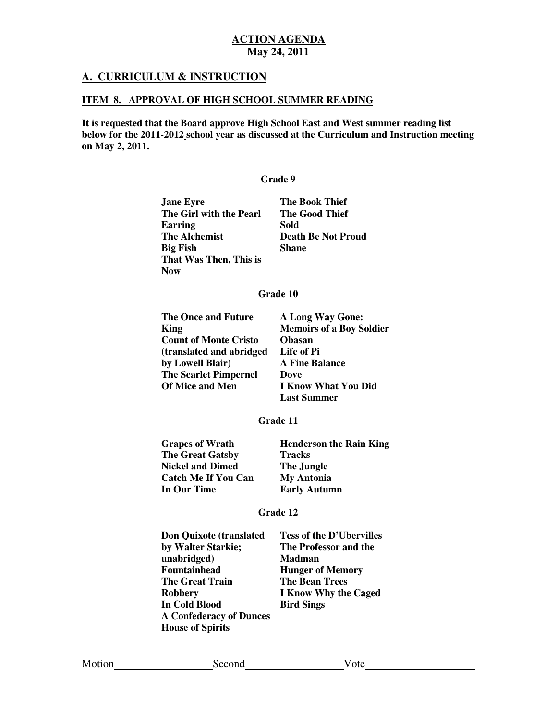## **A. CURRICULUM & INSTRUCTION**

#### **ITEM 8. APPROVAL OF HIGH SCHOOL SUMMER READING**

 **It is requested that the Board approve High School East and West summer reading list below for the 2011-2012 school year as discussed at the Curriculum and Instruction meeting on May 2, 2011.** 

#### **Grade 9**

| <b>Jane Eyre</b>        | <b>The Book Thief</b>     |
|-------------------------|---------------------------|
| The Girl with the Pearl | <b>The Good Thief</b>     |
| Earring                 | Sold                      |
| The Alchemist           | <b>Death Be Not Proud</b> |
| Big Fish                | Shane                     |
| That Was Then, This is  |                           |
| Now                     |                           |

#### **Grade 10**

| The Once and Future          | <b>A Long Way Gone:</b>         |
|------------------------------|---------------------------------|
| <b>King</b>                  | <b>Memoirs of a Boy Soldier</b> |
| <b>Count of Monte Cristo</b> | <b>Obasan</b>                   |
| (translated and abridged)    | Life of Pi                      |
| by Lowell Blair)             | <b>A Fine Balance</b>           |
| <b>The Scarlet Pimpernel</b> | Dove                            |
| <b>Of Mice and Men</b>       | <b>I Know What You Did</b>      |
|                              | <b>Last Summer</b>              |

#### **Grade 11**

| <b>Grapes of Wrath</b>     | <b>Henderson the Rain King</b> |
|----------------------------|--------------------------------|
| <b>The Great Gatsby</b>    | <b>Tracks</b>                  |
| <b>Nickel and Dimed</b>    | The Jungle                     |
| <b>Catch Me If You Can</b> | <b>My Antonia</b>              |
| In Our Time                | <b>Early Autumn</b>            |

#### **Grade 12**

| <b>Tess of the D'Ubervilles</b> |
|---------------------------------|
| The Professor and the           |
| <b>Madman</b>                   |
| <b>Hunger of Memory</b>         |
| <b>The Bean Trees</b>           |
| <b>I Know Why the Caged</b>     |
| <b>Bird Sings</b>               |
|                                 |
|                                 |
|                                 |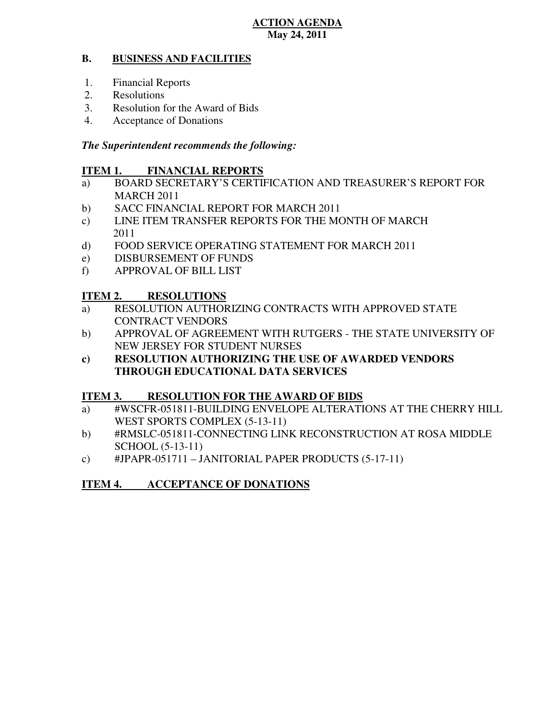## **May 24, 2011 ACTION AGENDA**

#### **B. BUSINESS AND FACILITIES**

- 1. Financial Reports
- 2. Resolutions
- 3. Resolution for the Award of Bids
- 4. Acceptance of Donations

## *The Superintendent recommends the following:*

#### **ITEM 1. FINANCIAL REPORTS**

- a) BOARD SECRETARY'S CERTIFICATION AND TREASURER'S REPORT FOR MARCH 2011
- b) SACC FINANCIAL REPORT FOR MARCH 2011
- $\mathbf{c})$ LINE ITEM TRANSFER REPORTS FOR THE MONTH OF MARCH 2011
- $\mathbf{d}$ FOOD SERVICE OPERATING STATEMENT FOR MARCH 2011
- e) DISBURSEMENT OF FUNDS
- f) APPROVAL OF BILL LIST

#### **ITEM 2. RESOLUTIONS**

- a) RESOLUTION AUTHORIZING CONTRACTS WITH APPROVED STATE CONTRACT VENDORS
- b) APPROVAL OF AGREEMENT WITH RUTGERS THE STATE UNIVERSITY OF NEW JERSEY FOR STUDENT NURSES
- **c) RESOLUTION AUTHORIZING THE USE OF AWARDED VENDORS THROUGH EDUCATIONAL DATA SERVICES**

#### **ITEM 3. RESOLUTION FOR THE AWARD OF BIDS**

- a) #WSCFR-051811-BUILDING ENVELOPE ALTERATIONS AT THE CHERRY HILL WEST SPORTS COMPLEX (5-13-11)
- b) #RMSLC-051811-CONNECTING LINK RECONSTRUCTION AT ROSA MIDDLE SCHOOL (5-13-11)
- c) #JPAPR-051711 JANITORIAL PAPER PRODUCTS (5-17-11)

#### **ITEM 4. ACCEPTANCE OF DONATIONS**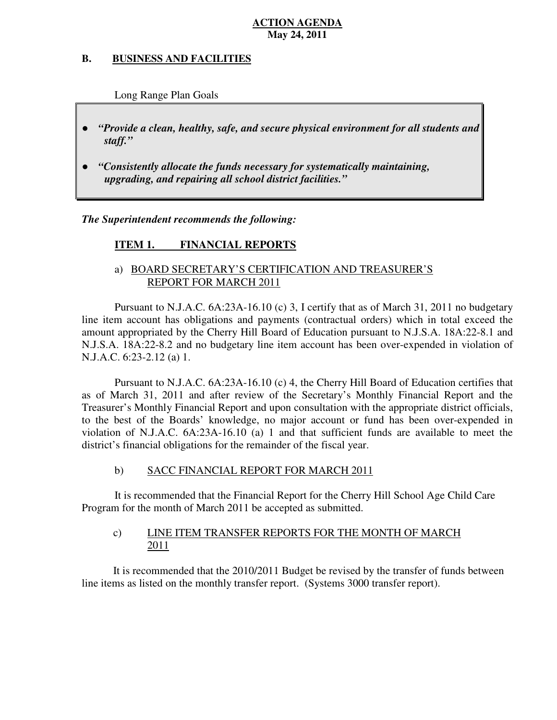### **May 24, 2011 ACTION AGENDA**

#### **B. B. BUSINESS AND FACILITIES**

Long Range Plan Goals

- *"Provide a clean, healthy, safe, and secure physical environment for all students and staff."*
- *upgrading, and repairing all school district facilities."*  ● *"Consistently allocate the funds necessary for systematically maintaining,*

 *The Superintendent recommends the following:* 

#### **ITEM 1. FINANCIAL REPORTS**

## a) BOARD SECRETARY'S CERTIFICATION AND TREASURER'S REPORT FOR MARCH 2011

 Pursuant to N.J.A.C. 6A:23A-16.10 (c) 3, I certify that as of March 31, 2011 no budgetary line item account has obligations and payments (contractual orders) which in total exceed the amount appropriated by the Cherry Hill Board of Education pursuant to N.J.S.A. 18A:22-8.1 and N.J.S.A. 18A:22-8.2 and no budgetary line item account has been over-expended in violation of N.J.A.C. 6:23-2.12 (a) 1.

 Pursuant to N.J.A.C. 6A:23A-16.10 (c) 4, the Cherry Hill Board of Education certifies that as of March 31, 2011 and after review of the Secretary's Monthly Financial Report and the Treasurer's Monthly Financial Report and upon consultation with the appropriate district officials, to the best of the Boards' knowledge, no major account or fund has been over-expended in violation of N.J.A.C. 6A:23A-16.10 (a) 1 and that sufficient funds are available to meet the district's financial obligations for the remainder of the fiscal year.

#### $b)$ b) SACC FINANCIAL REPORT FOR MARCH 2011

 It is recommended that the Financial Report for the Cherry Hill School Age Child Care Program for the month of March 2011 be accepted as submitted.

#### $c)$ LINE ITEM TRANSFER REPORTS FOR THE MONTH OF MARCH 2011

 It is recommended that the 2010/2011 Budget be revised by the transfer of funds between line items as listed on the monthly transfer report. (Systems 3000 transfer report).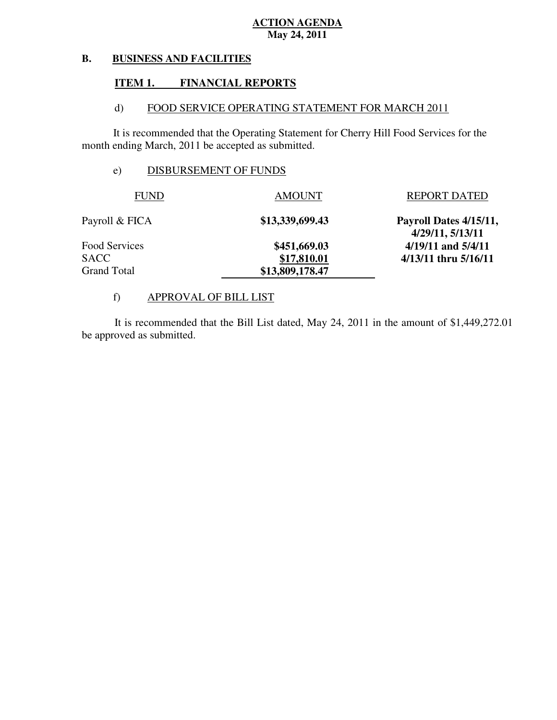## **May 24, 2011 ACTION AGENDA**

#### **B. BUSINESS AND FACILITIES**

#### **ITEM 1. FINANCIAL REPORTS**

#### $\mathbf{d}$ FOOD SERVICE OPERATING STATEMENT FOR MARCH 2011

 It is recommended that the Operating Statement for Cherry Hill Food Services for the month ending March, 2011 be accepted as submitted.

## e) DISBURSEMENT OF FUNDS

| <b>FUND</b>    | <b>AMOUNT</b>   | <b>REPORT DATED</b>                        |
|----------------|-----------------|--------------------------------------------|
| Payroll & FICA | \$13,339,699.43 | Payroll Dates 4/15/11,<br>4/29/11, 5/13/11 |
| Food Services  | \$451,669.03    | $4/19/11$ and $5/4/11$                     |
| SACC           | \$17,810.01     | 4/13/11 thru 5/16/11                       |
| Grand Total    | \$13,809,178.47 |                                            |

## f) APPROVAL OF BILL LIST

 be approved as submitted. It is recommended that the Bill List dated, May 24, 2011 in the amount of \$1,449,272.01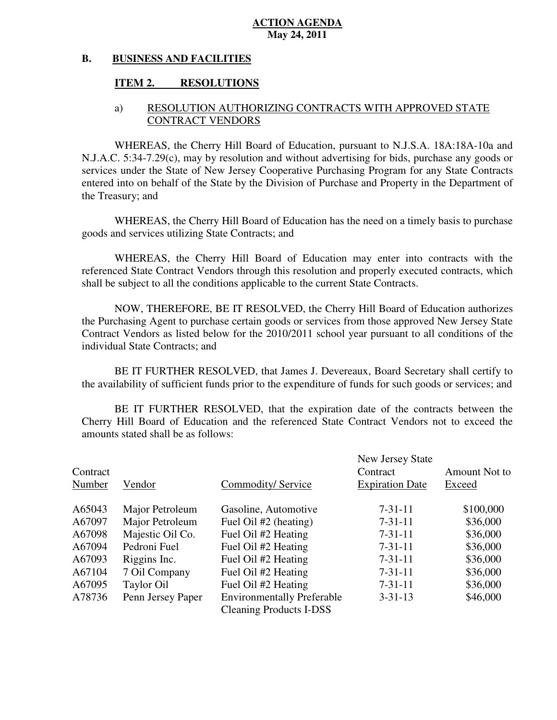#### **May 24, 2011 ACTION AGENDA**

#### **B. BUSINESS AND FACILITIES**

#### **ITEM 2. RESOLUTIONS**

### a) RESOLUTION AUTHORIZING CONTRACTS WITH APPROVED STATE CONTRACT VENDORS

 WHEREAS, the Cherry Hill Board of Education, pursuant to N.J.S.A. 18A:18A-10a and N.J.A.C. 5:34-7.29(c), may by resolution and without advertising for bids, purchase any goods or services under the State of New Jersey Cooperative Purchasing Program for any State Contracts entered into on behalf of the State by the Division of Purchase and Property in the Department of the Treasury; and

 WHEREAS, the Cherry Hill Board of Education has the need on a timely basis to purchase goods and services utilizing State Contracts; and

 WHEREAS, the Cherry Hill Board of Education may enter into contracts with the referenced State Contract Vendors through this resolution and properly executed contracts, which shall be subject to all the conditions applicable to the current State Contracts.

 NOW, THEREFORE, BE IT RESOLVED, the Cherry Hill Board of Education authorizes the Purchasing Agent to purchase certain goods or services from those approved New Jersey State Contract Vendors as listed below for the 2010/2011 school year pursuant to all conditions of the individual State Contracts; and

 the availability of sufficient funds prior to the expenditure of funds for such goods or services; and BE IT FURTHER RESOLVED, that James J. Devereaux, Board Secretary shall certify to

 Cherry Hill Board of Education and the referenced State Contract Vendors not to exceed the amounts stated shall be as follows: BE IT FURTHER RESOLVED, that the expiration date of the contracts between the

| Contract<br>Number | Vendor            | Commodity/Service                 | New Jersey State<br>Contract<br><b>Expiration Date</b> | Amount Not to<br>Exceed |
|--------------------|-------------------|-----------------------------------|--------------------------------------------------------|-------------------------|
| A65043             | Major Petroleum   | Gasoline, Automotive              | $7 - 31 - 11$                                          | \$100,000               |
| A67097             | Major Petroleum   | Fuel Oil #2 (heating)             | $7 - 31 - 11$                                          | \$36,000                |
| A67098             | Majestic Oil Co.  | Fuel Oil #2 Heating               | $7 - 31 - 11$                                          | \$36,000                |
| A67094             | Pedroni Fuel      | Fuel Oil #2 Heating               | $7 - 31 - 11$                                          | \$36,000                |
| A67093             | Riggins Inc.      | Fuel Oil #2 Heating               | $7 - 31 - 11$                                          | \$36,000                |
| A67104             | 7 Oil Company     | Fuel Oil #2 Heating               | $7 - 31 - 11$                                          | \$36,000                |
| A67095             | Taylor Oil        | Fuel Oil #2 Heating               | $7 - 31 - 11$                                          | \$36,000                |
| A78736             | Penn Jersey Paper | <b>Environmentally Preferable</b> | $3 - 31 - 13$                                          | \$46,000                |
|                    |                   | <b>Cleaning Products I-DSS</b>    |                                                        |                         |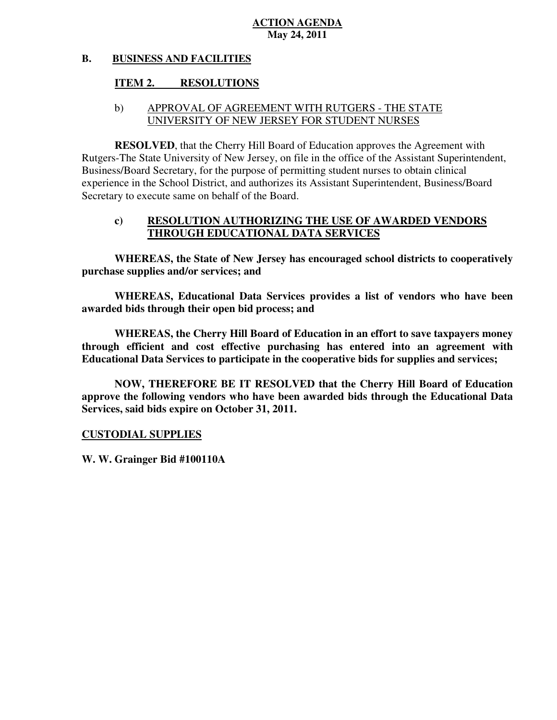## **May 24, 2011 ACTION AGENDA**

#### **B. BUSINESS AND FACILITIES**

#### **ITEM 2. RESOLUTIONS**

## b) APPROVAL OF AGREEMENT WITH RUTGERS - THE STATE UNIVERSITY OF NEW JERSEY FOR STUDENT NURSES

 **RESOLVED**, that the Cherry Hill Board of Education approves the Agreement with Rutgers-The State University of New Jersey, on file in the office of the Assistant Superintendent, Business/Board Secretary, for the purpose of permitting student nurses to obtain clinical experience in the School District, and authorizes its Assistant Superintendent, Business/Board Secretary to execute same on behalf of the Board.

## **c) RESOLUTION AUTHORIZING THE USE OF AWARDED VENDORS THROUGH EDUCATIONAL DATA SERVICES**

 **WHEREAS, the State of New Jersey has encouraged school districts to cooperatively purchase supplies and/or services; and** 

 **WHEREAS, Educational Data Services provides a list of vendors who have been awarded bids through their open bid process; and** 

 **WHEREAS, the Cherry Hill Board of Education in an effort to save taxpayers money through efficient and cost effective purchasing has entered into an agreement with Educational Data Services to participate in the cooperative bids for supplies and services;** 

 **NOW, THEREFORE BE IT RESOLVED that the Cherry Hill Board of Education approve the following vendors who have been awarded bids through the Educational Data Services, said bids expire on October 31, 2011.** 

### **CUSTODIAL SUPPLIES**

 **W. W. Grainger Bid #100110A**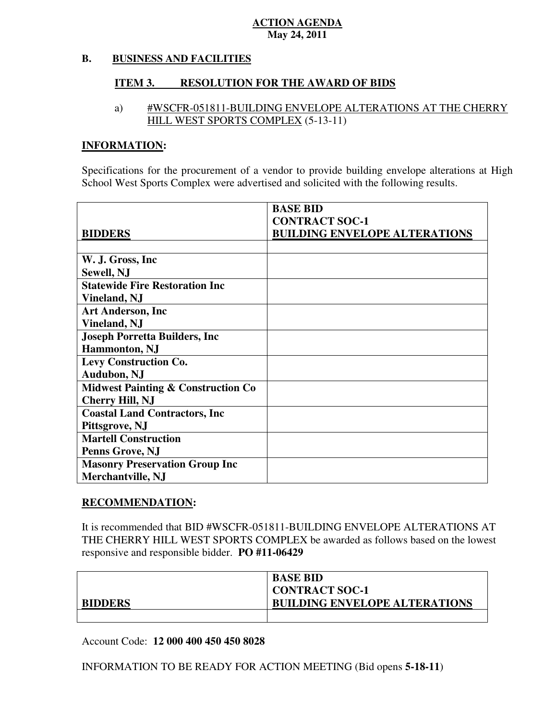## **May 24, 2011 ACTION AGENDA**

#### **B. BUSINESS AND FACILITIES**

#### **ITEM 3. RESOLUTION FOR THE AWARD OF BIDS**

## a) #WSCFR-051811-BUILDING ENVELOPE ALTERATIONS AT THE CHERRY HILL WEST SPORTS COMPLEX (5-13-11)

## **INFORMATION:**

 Specifications for the procurement of a vendor to provide building envelope alterations at High School West Sports Complex were advertised and solicited with the following results.

|                                               | <b>BASE BID</b>                      |
|-----------------------------------------------|--------------------------------------|
|                                               | <b>CONTRACT SOC-1</b>                |
| <b>BIDDERS</b>                                | <b>BUILDING ENVELOPE ALTERATIONS</b> |
|                                               |                                      |
| W. J. Gross, Inc.                             |                                      |
| Sewell, NJ                                    |                                      |
| <b>Statewide Fire Restoration Inc</b>         |                                      |
| Vineland, NJ                                  |                                      |
| <b>Art Anderson, Inc.</b>                     |                                      |
| <b>Vineland, NJ</b>                           |                                      |
| <b>Joseph Porretta Builders, Inc.</b>         |                                      |
| <b>Hammonton</b> , NJ                         |                                      |
| <b>Levy Construction Co.</b>                  |                                      |
| <b>Audubon, NJ</b>                            |                                      |
| <b>Midwest Painting &amp; Construction Co</b> |                                      |
| <b>Cherry Hill, NJ</b>                        |                                      |
| <b>Coastal Land Contractors, Inc.</b>         |                                      |
| Pittsgrove, NJ                                |                                      |
| <b>Martell Construction</b>                   |                                      |
| Penns Grove, NJ                               |                                      |
| <b>Masonry Preservation Group Inc</b>         |                                      |
| Merchantville, NJ                             |                                      |

## **RECOMMENDATION:**

 It is recommended that BID #WSCFR-051811-BUILDING ENVELOPE ALTERATIONS AT THE CHERRY HILL WEST SPORTS COMPLEX be awarded as follows based on the lowest responsive and responsible bidder. **PO #11-06429** 

|                | <b>BASE BID</b>                      |
|----------------|--------------------------------------|
|                | <b>CONTRACT SOC-1</b>                |
| <b>BIDDERS</b> | <b>BUILDING ENVELOPE ALTERATIONS</b> |
|                |                                      |

Account Code: **12 000 400 450 450 8028** 

INFORMATION TO BE READY FOR ACTION MEETING (Bid opens **5-18-11**)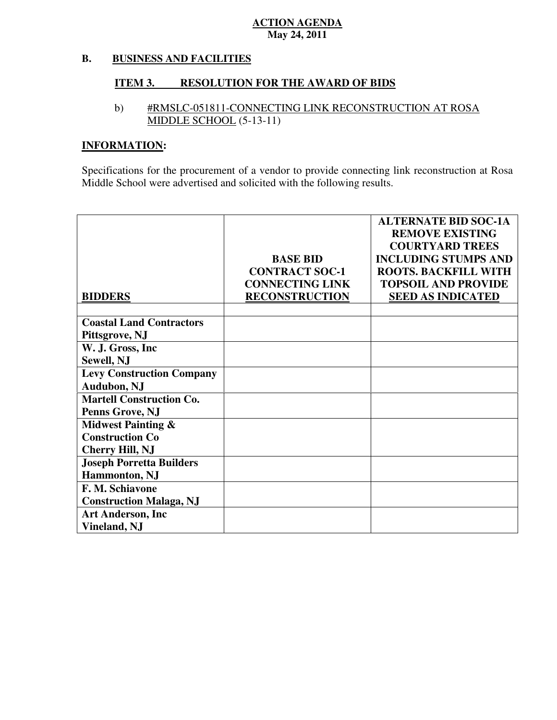## **May 24, 2011 ACTION AGENDA**

#### **B. BUSINESS AND FACILITIES**

#### **ITEM 3. RESOLUTION FOR THE AWARD OF BIDS**

## b) #RMSLC-051811-CONNECTING LINK RECONSTRUCTION AT ROSA MIDDLE SCHOOL (5-13-11)

## **INFORMATION:**

 Specifications for the procurement of a vendor to provide connecting link reconstruction at Rosa Middle School were advertised and solicited with the following results.

|                                  |                        | <b>ALTERNATE BID SOC-1A</b> |
|----------------------------------|------------------------|-----------------------------|
|                                  |                        | <b>REMOVE EXISTING</b>      |
|                                  |                        | <b>COURTYARD TREES</b>      |
|                                  | <b>BASE BID</b>        | <b>INCLUDING STUMPS AND</b> |
|                                  | <b>CONTRACT SOC-1</b>  | <b>ROOTS. BACKFILL WITH</b> |
|                                  | <b>CONNECTING LINK</b> | <b>TOPSOIL AND PROVIDE</b>  |
| <b>BIDDERS</b>                   | <b>RECONSTRUCTION</b>  | <b>SEED AS INDICATED</b>    |
|                                  |                        |                             |
| <b>Coastal Land Contractors</b>  |                        |                             |
| Pittsgrove, NJ                   |                        |                             |
| W. J. Gross, Inc.                |                        |                             |
| Sewell, NJ                       |                        |                             |
| <b>Levy Construction Company</b> |                        |                             |
| <b>Audubon, NJ</b>               |                        |                             |
| <b>Martell Construction Co.</b>  |                        |                             |
| Penns Grove, NJ                  |                        |                             |
| <b>Midwest Painting &amp;</b>    |                        |                             |
| <b>Construction Co</b>           |                        |                             |
| <b>Cherry Hill, NJ</b>           |                        |                             |
| <b>Joseph Porretta Builders</b>  |                        |                             |
| Hammonton, NJ                    |                        |                             |
| F. M. Schiavone                  |                        |                             |
| <b>Construction Malaga, NJ</b>   |                        |                             |
| <b>Art Anderson, Inc</b>         |                        |                             |
| <b>Vineland, NJ</b>              |                        |                             |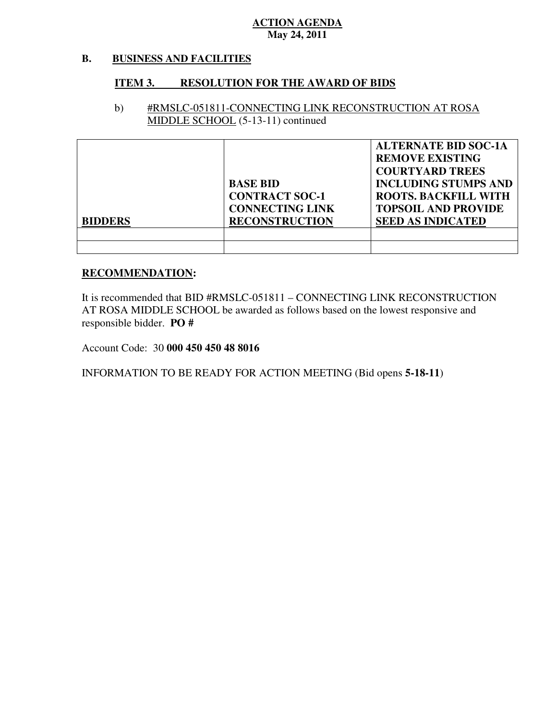## **May 24, 2011 ACTION AGENDA**

#### **B. BUSINESS AND FACILITIES**

#### **ITEM 3. RESOLUTION FOR THE AWARD OF BIDS**

## b) #RMSLC-051811-CONNECTING LINK RECONSTRUCTION AT ROSA MIDDLE SCHOOL (5-13-11) continued

| <b>BIDDERS</b> | <b>BASE BID</b><br><b>CONTRACT SOC-1</b><br><b>CONNECTING LINK</b><br><b>RECONSTRUCTION</b> | <b>ALTERNATE BID SOC-1A</b><br><b>REMOVE EXISTING</b><br><b>COURTYARD TREES</b><br><b>INCLUDING STUMPS AND</b><br><b>ROOTS. BACKFILL WITH</b><br><b>TOPSOIL AND PROVIDE</b><br><b>SEED AS INDICATED</b> |
|----------------|---------------------------------------------------------------------------------------------|---------------------------------------------------------------------------------------------------------------------------------------------------------------------------------------------------------|
|                |                                                                                             |                                                                                                                                                                                                         |
|                |                                                                                             |                                                                                                                                                                                                         |

#### **RECOMMENDATION:**

 It is recommended that BID #RMSLC-051811 – CONNECTING LINK RECONSTRUCTION AT ROSA MIDDLE SCHOOL be awarded as follows based on the lowest responsive and responsible bidder. **PO #** 

Account Code: 30 **000 450 450 48 8016** 

INFORMATION TO BE READY FOR ACTION MEETING (Bid opens **5-18-11**)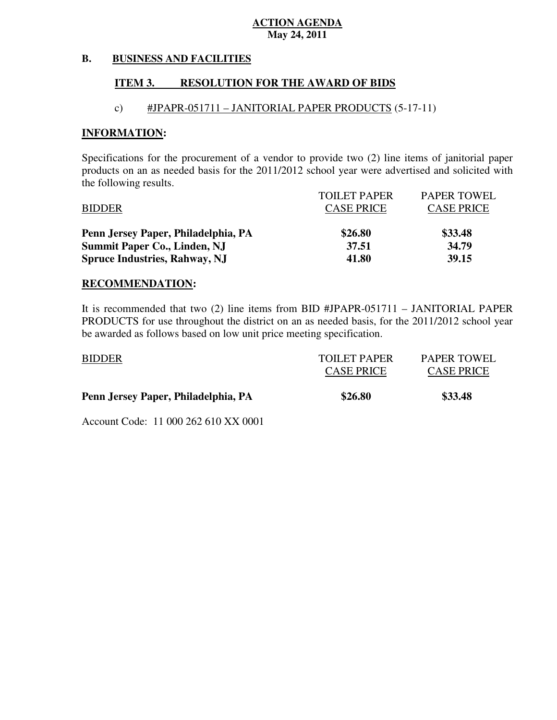### **May 24, 2011 ACTION AGENDA**

#### **B. BUSINESS AND FACILITIES**

#### **ITEM 3. RESOLUTION FOR THE AWARD OF BIDS**

## c) #JPAPR-051711 – JANITORIAL PAPER PRODUCTS (5-17-11)

#### **INFORMATION:**

 Specifications for the procurement of a vendor to provide two (2) line items of janitorial paper products on an as needed basis for the 2011/2012 school year were advertised and solicited with the following results.

|                                      | <b>TOILET PAPER</b> | <b>PAPER TOWEL</b> |
|--------------------------------------|---------------------|--------------------|
| <b>BIDDER</b>                        | <b>CASE PRICE</b>   | <b>CASE PRICE</b>  |
| Penn Jersey Paper, Philadelphia, PA  | \$26.80             | \$33.48            |
| <b>Summit Paper Co., Linden, NJ</b>  | 37.51               | 34.79              |
| <b>Spruce Industries, Rahway, NJ</b> | 41.80               | 39.15              |

#### **RECOMMENDATION:**

 It is recommended that two (2) line items from BID #JPAPR-051711 – JANITORIAL PAPER PRODUCTS for use throughout the district on an as needed basis, for the 2011/2012 school year be awarded as follows based on low unit price meeting specification.

| Penn Jersey Paper, Philadelphia, PA | \$26.80                           | \$33.48                                 |
|-------------------------------------|-----------------------------------|-----------------------------------------|
| <b>BIDDER</b>                       | TOILET PAPER<br><b>CASE PRICE</b> | <b>PAPER TOWEL</b><br><b>CASE PRICE</b> |

Account Code: 11 000 262 610 XX 0001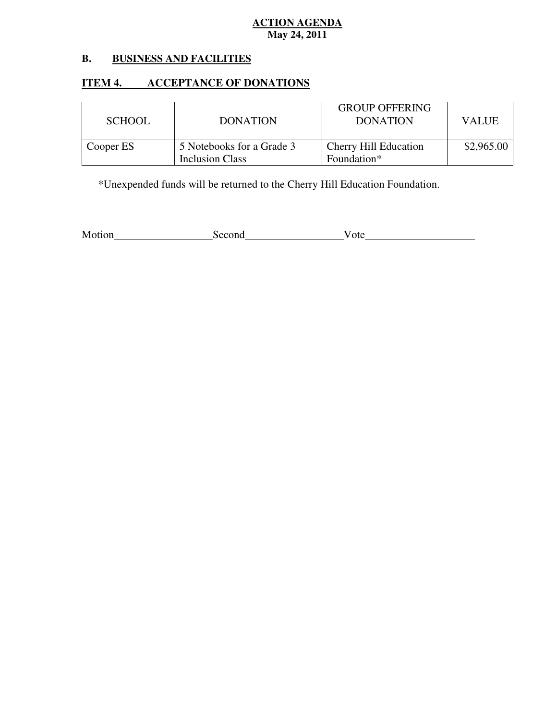## **May 24, 2011 ACTION AGENDA**

#### **B. B. BUSINESS AND FACILITIES**

# **ITEM 4. ACCEPTANCE OF DONATIONS**

| <b>SCHOOL</b> | <b>DONATION</b>                              | <b>GROUP OFFERING</b><br><b>DONATION</b> | VALUE      |
|---------------|----------------------------------------------|------------------------------------------|------------|
| Cooper ES     | 5 Notebooks for a Grade 3<br>Inclusion Class | Cherry Hill Education<br>Foundation*     | \$2,965.00 |

\*Unexpended funds will be returned to the Cherry Hill Education Foundation.

| Motion | Second | v ote |
|--------|--------|-------|
|--------|--------|-------|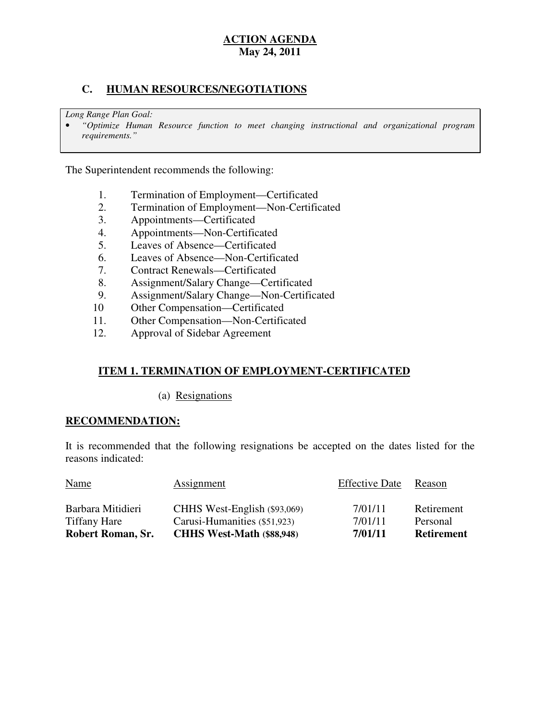## **May 24, 2011 ACTION AGENDA**

## **C. HUMAN RESOURCES/NEGOTIATIONS**

 *Long Range Plan Goal:* 

 • *"Optimize Human Resource function to meet changing instructional and organizational program requirements."* 

The Superintendent recommends the following:

- 1. Termination of Employment—Certificated
- 2. Termination of Employment—Non-Certificated
- 3. Appointments—Certificated
- 4. Appointments—Non-Certificated
- 5. Leaves of Absence—Certificated
- 6. Leaves of Absence—Non-Certificated
- 7. Contract Renewals—Certificated
- 8. Assignment/Salary Change—Certificated
- 9. Assignment/Salary Change—Non-Certificated
- 10 Other Compensation—Certificated
- 11. Other Compensation—Non-Certificated
- 12. Approval of Sidebar Agreement

## **ITEM 1. TERMINATION OF EMPLOYMENT-CERTIFICATED**

(a) Resignations

#### **RECOMMENDATION:**

 It is recommended that the following resignations be accepted on the dates listed for the reasons indicated:

| Robert Roman, Sr.   | <b>CHHS West-Math (\$88,948)</b> | 7/01/11               | <b>Retirement</b> |
|---------------------|----------------------------------|-----------------------|-------------------|
| <b>Tiffany Hare</b> | Carusi-Humanities (\$51,923)     | 7/01/11               | Personal          |
| Barbara Mitidieri   | CHHS West-English (\$93,069)     | 7/01/11               | Retirement        |
| <b>Name</b>         | <b>Assignment</b>                | <b>Effective Date</b> | Reason            |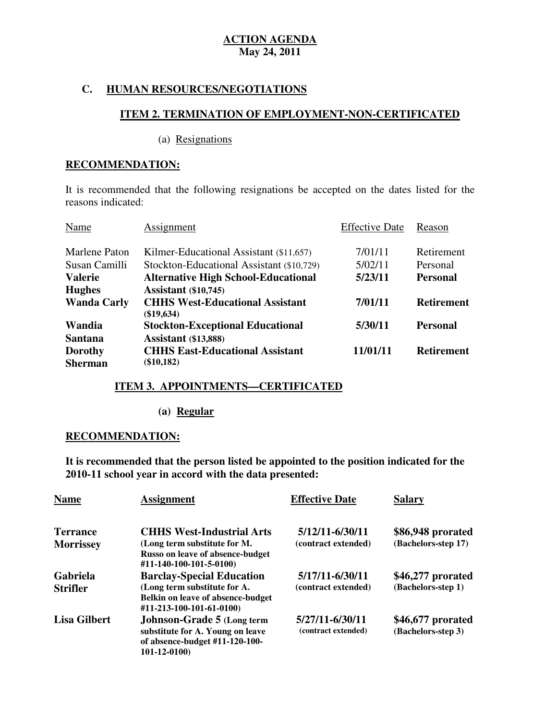## **C. HUMAN RESOURCES/NEGOTIATIONS**

## **ITEM 2. TERMINATION OF EMPLOYMENT-NON-CERTIFICATED**

(a) Resignations

## **RECOMMENDATION:**

 It is recommended that the following resignations be accepted on the dates listed for the reasons indicated:

| Name                             | Assignment                                             | <b>Effective Date</b> | Reason            |
|----------------------------------|--------------------------------------------------------|-----------------------|-------------------|
| Marlene Paton                    | Kilmer-Educational Assistant (\$11,657)                | 7/01/11               | Retirement        |
| Susan Camilli                    | Stockton-Educational Assistant (\$10,729)              | 5/02/11               | Personal          |
| <b>Valerie</b>                   | <b>Alternative High School-Educational</b>             | 5/23/11               | <b>Personal</b>   |
| <b>Hughes</b>                    | <b>Assistant</b> (\$10,745)                            |                       |                   |
| <b>Wanda Carly</b>               | <b>CHHS West-Educational Assistant</b><br>$(\$19,634)$ | 7/01/11               | <b>Retirement</b> |
| Wandia                           | <b>Stockton-Exceptional Educational</b>                | 5/30/11               | <b>Personal</b>   |
| <b>Santana</b>                   | <b>Assistant</b> (\$13,888)                            |                       |                   |
| <b>Dorothy</b><br><b>Sherman</b> | <b>CHHS East-Educational Assistant</b><br>$(\$10,182)$ | 11/01/11              | <b>Retirement</b> |

## **ITEM 3. APPOINTMENTS—CERTIFICATED**

**(a) Regular** 

## **RECOMMENDATION:**

 **It is recommended that the person listed be appointed to the position indicated for the 2010-11 school year in accord with the data presented:** 

| <b>Name</b>                         | <b>Assignment</b>                                                                                                       | <b>Effective Date</b>                  | <b>Salary</b>                            |
|-------------------------------------|-------------------------------------------------------------------------------------------------------------------------|----------------------------------------|------------------------------------------|
| <b>Terrance</b><br><b>Morrissey</b> | <b>CHHS West-Industrial Arts</b><br>(Long term substitute for M.                                                        | 5/12/11-6/30/11<br>(contract extended) | \$86,948 prorated<br>(Bachelors-step 17) |
|                                     | Russo on leave of absence-budget<br>#11-140-100-101-5-0100)                                                             |                                        |                                          |
| Gabriela                            | <b>Barclay-Special Education</b>                                                                                        | 5/17/11-6/30/11                        | \$46,277 prorated<br>(Bachelors-step 1)  |
| <b>Strifler</b>                     | (Long term substitute for A.<br><b>Belkin on leave of absence-budget</b><br>#11-213-100-101-61-0100)                    | (contract extended)                    |                                          |
| <b>Lisa Gilbert</b>                 | <b>Johnson-Grade 5 (Long term</b><br>substitute for A. Young on leave<br>of absence-budget #11-120-100-<br>101-12-0100) | 5/27/11-6/30/11<br>(contract extended) | \$46,677 prorated<br>(Bachelors-step 3)  |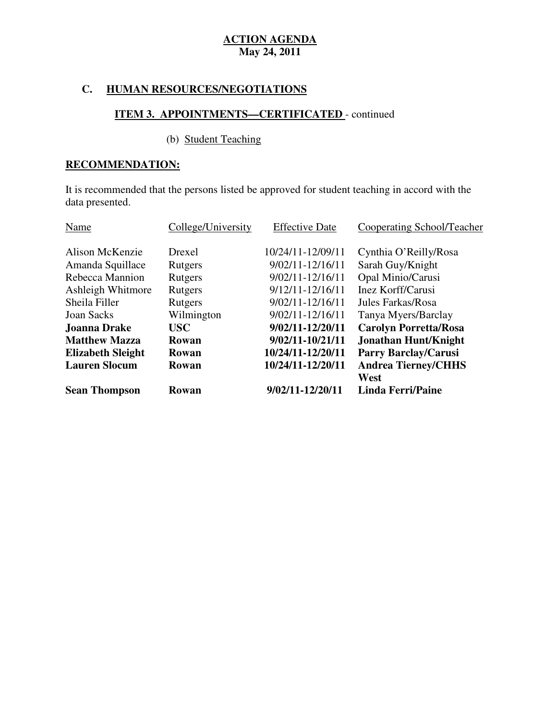# **C. HUMAN RESOURCES/NEGOTIATIONS**

## **ITEM 3. APPOINTMENTS—CERTIFICATED** - continued

#### (b) Student Teaching

## **RECOMMENDATION:**

 It is recommended that the persons listed be approved for student teaching in accord with the data presented.

| Name                     | College/University | <b>Effective Date</b> | Cooperating School/Teacher   |
|--------------------------|--------------------|-----------------------|------------------------------|
| Alison McKenzie          | Drexel             | 10/24/11-12/09/11     | Cynthia O'Reilly/Rosa        |
| Amanda Squillace         | Rutgers            | $9/02/11 - 12/16/11$  | Sarah Guy/Knight             |
| Rebecca Mannion          | Rutgers            | $9/02/11 - 12/16/11$  | Opal Minio/Carusi            |
| Ashleigh Whitmore        | Rutgers            | $9/12/11 - 12/16/11$  | Inez Korff/Carusi            |
| Sheila Filler            | Rutgers            | $9/02/11 - 12/16/11$  | Jules Farkas/Rosa            |
| <b>Joan Sacks</b>        | Wilmington         | 9/02/11-12/16/11      | Tanya Myers/Barclay          |
| <b>Joanna Drake</b>      | <b>USC</b>         | 9/02/11-12/20/11      | <b>Carolyn Porretta/Rosa</b> |
| <b>Matthew Mazza</b>     | Rowan              | 9/02/11-10/21/11      | <b>Jonathan Hunt/Knight</b>  |
| <b>Elizabeth Sleight</b> | Rowan              | 10/24/11-12/20/11     | <b>Parry Barclay/Carusi</b>  |
| <b>Lauren Slocum</b>     | Rowan              | 10/24/11-12/20/11     | <b>Andrea Tierney/CHHS</b>   |
|                          |                    |                       | West                         |
| <b>Sean Thompson</b>     | Rowan              | 9/02/11-12/20/11      | <b>Linda Ferri/Paine</b>     |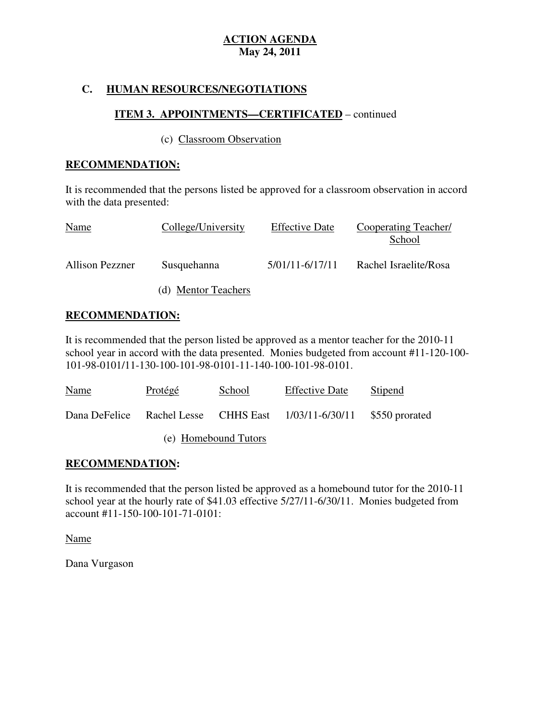## **C. HUMAN RESOURCES/NEGOTIATIONS**

## **ITEM 3. APPOINTMENTS—CERTIFICATED** – continued

#### (c) Classroom Observation

### **RECOMMENDATION:**

 It is recommended that the persons listed be approved for a classroom observation in accord with the data presented:

| Name                   | College/University  | <b>Effective Date</b> | Cooperating Teacher/<br>School |
|------------------------|---------------------|-----------------------|--------------------------------|
| <b>Allison Pezzner</b> | Susquehanna         | 5/01/11-6/17/11       | Rachel Israelite/Rosa          |
|                        | (d) Mentor Teachers |                       |                                |

## **RECOMMENDATION:**

 It is recommended that the person listed be approved as a mentor teacher for the 2010-11 school year in accord with the data presented. Monies budgeted from account #11-120-100 101-98-0101/11-130-100-101-98-0101-11-140-100-101-98-0101.

| Name | Protégé | School               | <b>Effective Date</b>                                               | Stipend |
|------|---------|----------------------|---------------------------------------------------------------------|---------|
|      |         |                      | Dana DeFelice Rachel Lesse CHHS East 1/03/11-6/30/11 \$550 prorated |         |
|      |         | (e) Homebound Tutors |                                                                     |         |

## **RECOMMENDATION:**

 It is recommended that the person listed be approved as a homebound tutor for the 2010-11 school year at the hourly rate of \$41.03 effective 5/27/11-6/30/11. Monies budgeted from account #11-150-100-101-71-0101:

Name

Dana Vurgason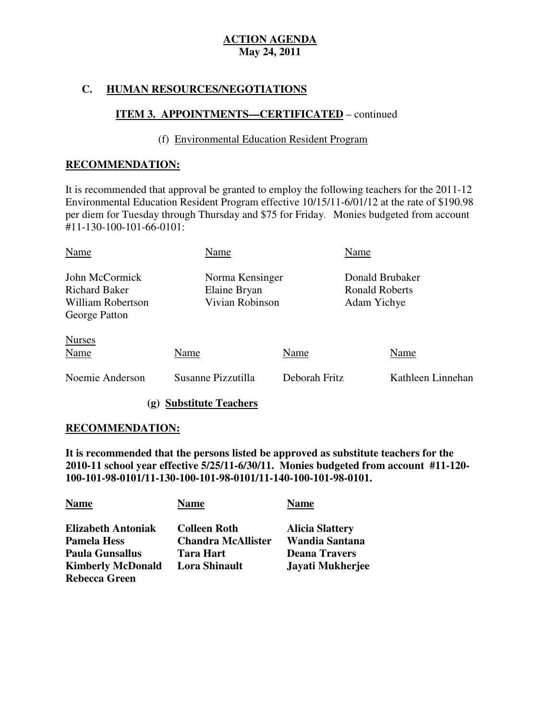## **C. HUMAN RESOURCES/NEGOTIATIONS**

## **ITEM 3. APPOINTMENTS—CERTIFICATED** – continued

## (f) Environmental Education Resident Program

## **RECOMMENDATION:**

 It is recommended that approval be granted to employ the following teachers for the 2011-12 Environmental Education Resident Program effective 10/15/11-6/01/12 at the rate of \$190.98 per diem for Tuesday through Thursday and \$75 for Friday. Monies budgeted from account #11-130-100-101-66-0101:

| Name                                                                         | Name                                               |               | Name                                                    |                   |
|------------------------------------------------------------------------------|----------------------------------------------------|---------------|---------------------------------------------------------|-------------------|
| John McCormick<br><b>Richard Baker</b><br>William Robertson<br>George Patton | Norma Kensinger<br>Elaine Bryan<br>Vivian Robinson |               | Donald Brubaker<br><b>Ronald Roberts</b><br>Adam Yichye |                   |
| <b>Nurses</b><br>Name                                                        | Name                                               | Name          |                                                         | Name              |
| Noemie Anderson                                                              | Susanne Pizzutilla                                 | Deborah Fritz |                                                         | Kathleen Linnehan |

**(g) Substitute Teachers** 

## **RECOMMENDATION:**

 **It is recommended that the persons listed be approved as substitute teachers for the 2010-11 school year effective 5/25/11-6/30/11. Monies budgeted from account #11-120 100-101-98-0101/11-130-100-101-98-0101/11-140-100-101-98-0101.** 

| <b>Name</b>               | <b>Name</b>               | <b>Name</b>            |
|---------------------------|---------------------------|------------------------|
| <b>Elizabeth Antoniak</b> | <b>Colleen Roth</b>       | <b>Alicia Slattery</b> |
| <b>Pamela Hess</b>        | <b>Chandra McAllister</b> | Wandia Santana         |
| <b>Paula Gunsallus</b>    | <b>Tara Hart</b>          | <b>Deana Travers</b>   |
| <b>Kimberly McDonald</b>  | <b>Lora Shinault</b>      | Jayati Mukherjee       |
| <b>Rebecca Green</b>      |                           |                        |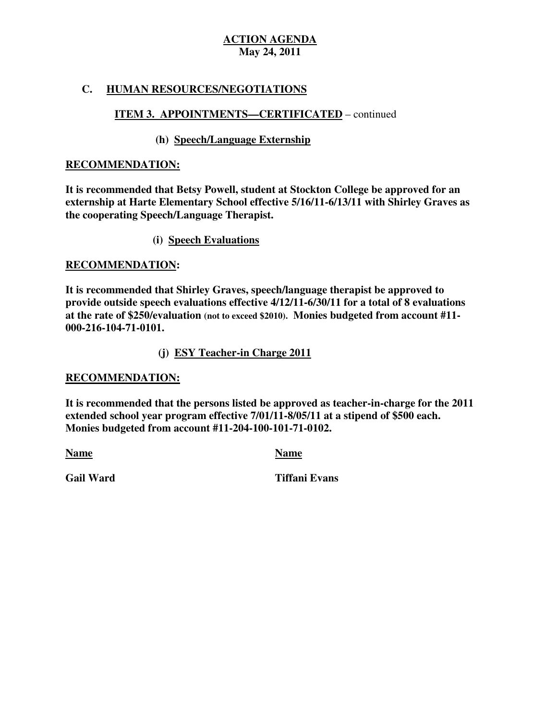## **C. HUMAN RESOURCES/NEGOTIATIONS**

# **ITEM 3. APPOINTMENTS—CERTIFICATED** – continued

## **(h) Speech/Language Externship**

### **RECOMMENDATION:**

 **It is recommended that Betsy Powell, student at Stockton College be approved for an externship at Harte Elementary School effective 5/16/11-6/13/11 with Shirley Graves as the cooperating Speech/Language Therapist.** 

**(i) Speech Evaluations** 

#### **RECOMMENDATION:**

 **It is recommended that Shirley Graves, speech/language therapist be approved to provide outside speech evaluations effective 4/12/11-6/30/11 for a total of 8 evaluations at the rate of \$250/evaluation (not to exceed \$2010). Monies budgeted from account #11 000-216-104-71-0101.** 

 **(j) ESY Teacher-in Charge 2011** 

#### **RECOMMENDATION:**

 **It is recommended that the persons listed be approved as teacher-in-charge for the 2011 extended school year program effective 7/01/11-8/05/11 at a stipend of \$500 each. Monies budgeted from account #11-204-100-101-71-0102.** 

**Name** Name Name

**Gail Ward** 

**Tiffani Evans**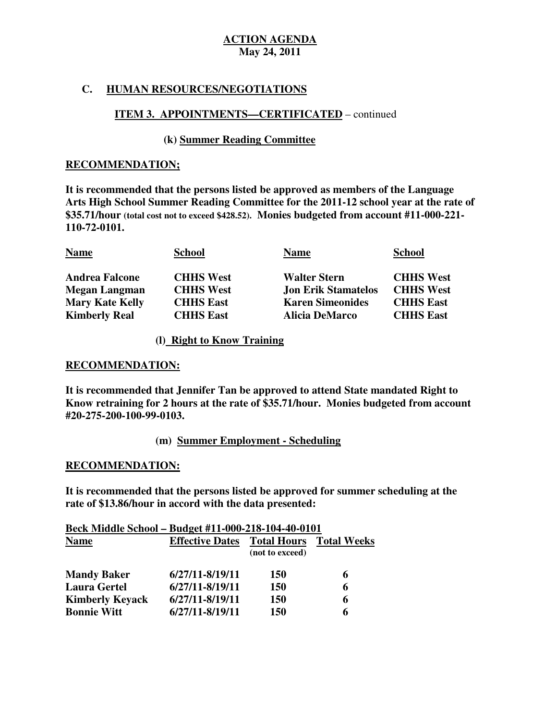## **C. HUMAN RESOURCES/NEGOTIATIONS**

## **ITEM 3. APPOINTMENTS—CERTIFICATED** – continued

## **(k) Summer Reading Committee**

#### **RECOMMENDATION;**

 **It is recommended that the persons listed be approved as members of the Language Arts High School Summer Reading Committee for the 2011-12 school year at the rate of \$35.71/hour (total cost not to exceed \$428.52). Monies budgeted from account #11-000-221** 110-72-0101.

| 110-72-0101.           |                  |                            |                  |
|------------------------|------------------|----------------------------|------------------|
| <b>Name</b>            | <b>School</b>    | <b>Name</b>                | <b>School</b>    |
| <b>Andrea Falcone</b>  | <b>CHHS West</b> | <b>Walter Stern</b>        | <b>CHHS West</b> |
| Megan Langman          | <b>CHHS West</b> | <b>Jon Erik Stamatelos</b> | <b>CHHS West</b> |
| <b>Mary Kate Kelly</b> | <b>CHHS East</b> | <b>Karen Simeonides</b>    | <b>CHHS East</b> |
| <b>Kimberly Real</b>   | <b>CHHS East</b> | <b>Alicia DeMarco</b>      | <b>CHHS East</b> |

#### **(l) Right to Know Training**

### **RECOMMENDATION:**

 **It is recommended that Jennifer Tan be approved to attend State mandated Right to Know retraining for 2 hours at the rate of \$35.71/hour. Monies budgeted from account**  #20-275-200-100-99-0103.  **#20-275-200-100-99-0103. (m) Summer Employment - Scheduling** 

## **RECOMMENDATION:**

 **It is recommended that the persons listed be approved for summer scheduling at the rate of \$13.86/hour in accord with the data presented:** 

| Beck Middle School - Budget #11-000-218-104-40-0101 |                        |                                       |                    |
|-----------------------------------------------------|------------------------|---------------------------------------|--------------------|
| <b>Name</b>                                         | <b>Effective Dates</b> | <b>Total Hours</b><br>(not to exceed) | <b>Total Weeks</b> |
| <b>Mandy Baker</b>                                  | 6/27/11-8/19/11        | <b>150</b>                            | 6                  |
| <b>Laura Gertel</b>                                 | $6/27/11 - 8/19/11$    | <b>150</b>                            | 6                  |
| <b>Kimberly Keyack</b>                              | $6/27/11 - 8/19/11$    | <b>150</b>                            | 6                  |
| <b>Bonnie Witt</b>                                  | $6/27/11 - 8/19/11$    | 150                                   | 6                  |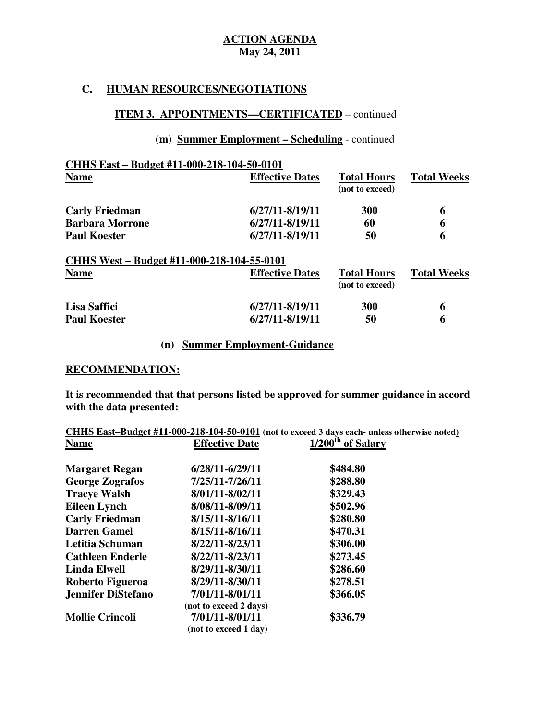## **C. HUMAN RESOURCES/NEGOTIATIONS**

## **ITEM 3. APPOINTMENTS—CERTIFICATED** – continued

## **(m) Summer Employment – Scheduling** - continued

| CHHS East - Budget #11-000-218-104-50-0101 |                        |                                       |                    |
|--------------------------------------------|------------------------|---------------------------------------|--------------------|
| <b>Name</b>                                | <b>Effective Dates</b> | <b>Total Hours</b><br>(not to exceed) | <b>Total Weeks</b> |
| <b>Carly Friedman</b>                      | 6/27/11-8/19/11        | <b>300</b>                            | 6                  |
| <b>Barbara Morrone</b>                     | 6/27/11-8/19/11        | 60                                    | 6                  |
| <b>Paul Koester</b>                        | 6/27/11-8/19/11        | 50                                    | 6                  |
| CHHS West – Budget #11-000-218-104-55-0101 |                        |                                       |                    |
| <b>Name</b>                                | <b>Effective Dates</b> | <b>Total Hours</b><br>(not to exceed) | <b>Total Weeks</b> |
| Lisa Saffici                               | 6/27/11-8/19/11        | <b>300</b>                            | 6                  |
| <b>Paul Koester</b>                        | 6/27/11-8/19/11        | 50                                    | 6                  |

# **(n) Summer Employment-Guidance**

#### **RECOMMENDATION:**

 **It is recommended that that persons listed be approved for summer guidance in accord with the data presented:** 

|                        |                        | CHHS East-Budget #11-000-218-104-50-0101 (not to exceed 3 days each- unless otherwise noted) |
|------------------------|------------------------|----------------------------------------------------------------------------------------------|
| <b>Name</b>            | <b>Effective Date</b>  | 1/200 <sup>th</sup> of Salary                                                                |
| <b>Margaret Regan</b>  | 6/28/11-6/29/11        | \$484.80                                                                                     |
| <b>George Zografos</b> | 7/25/11-7/26/11        | \$288.80                                                                                     |
| <b>Tracye Walsh</b>    | 8/01/11-8/02/11        | \$329.43                                                                                     |
| <b>Eileen Lynch</b>    | 8/08/11-8/09/11        | \$502.96                                                                                     |
| <b>Carly Friedman</b>  | 8/15/11-8/16/11        | \$280.80                                                                                     |
| <b>Darren Gamel</b>    | 8/15/11-8/16/11        | \$470.31                                                                                     |
| Letitia Schuman        | 8/22/11-8/23/11        | \$306.00                                                                                     |
| Cathleen Enderle       | 8/22/11-8/23/11        | \$273.45                                                                                     |
| <b>Linda Elwell</b>    | 8/29/11-8/30/11        | \$286.60                                                                                     |
| Roberto Figueroa       | 8/29/11-8/30/11        | \$278.51                                                                                     |
| Jennifer DiStefano     | 7/01/11-8/01/11        | \$366.05                                                                                     |
|                        | (not to exceed 2 days) |                                                                                              |
| <b>Mollie Crincoli</b> | 7/01/11-8/01/11        | \$336.79                                                                                     |
|                        | (not to exceed 1 day)  |                                                                                              |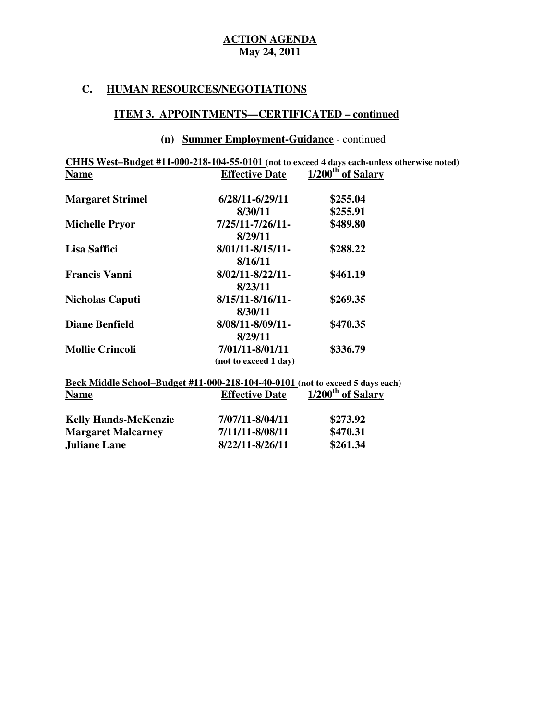#### **C. HUMAN RESOURCES/NEGOTIATIONS**

### **ITEM 3. APPOINTMENTS—CERTIFICATED – continued**

#### **(n) Summer Employment-Guidance** - continued

 **CHHS West–Budget #11-000-218-104-55-0101 (not to exceed 4 days each-unless otherwise noted) Effective Date Margaret Strimel 6/28/11-6/29/11 \$255.04 Michelle Pryor Lisa Saffici Francis Vanni Nicholas Caputi 8/15/11-8/16/11- \$269.35 Name** Effective Date 1/200<sup>th</sup> of Salary **8/30/11 \$255.91 Michelle Pryor 7/25/11-7/26/11- \$489.80 8/29/11 Lisa Saffici 8/01/11-8/15/11- \$288.22 8/16/11 Francis Vanni 8/02/11-8/22/11- \$461.19 8/23/11 8/30/11** 

|                        | 01.JW L L             |          |
|------------------------|-----------------------|----------|
| <b>Diane Benfield</b>  | 8/08/11-8/09/11-      | \$470.35 |
|                        | 8/29/11               |          |
| <b>Mollie Crincoli</b> | 7/01/11-8/01/11       | \$336.79 |
|                        | (not to exceed 1 day) |          |

#### **Beck Middle School–Budget #11-000-218-104-40-0101 (not to exceed 5 days each) Effective Date Name** Effective Date 1/200<sup>th</sup> of Salary

| <b>Kelly Hands-McKenzie</b> | 7/07/11-8/04/11 | \$273.92 |
|-----------------------------|-----------------|----------|
| <b>Margaret Malcarney</b>   | 7/11/11-8/08/11 | \$470.31 |
| <b>Juliane Lane</b>         | 8/22/11-8/26/11 | \$261.34 |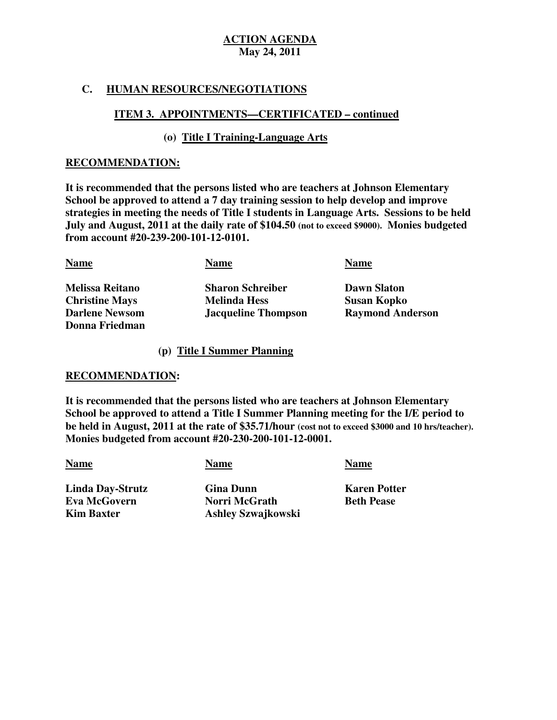## **C. HUMAN RESOURCES/NEGOTIATIONS**

## **ITEM 3. APPOINTMENTS—CERTIFICATED – continued**

## **(o) Title I Training-Language Arts**

#### **RECOMMENDATION:**

 **It is recommended that the persons listed who are teachers at Johnson Elementary School be approved to attend a 7 day training session to help develop and improve strategies in meeting the needs of Title I students in Language Arts. Sessions to be held July and August, 2011 at the daily rate of \$104.50 (not to exceed \$9000). Monies budgeted from account #20-239-200-101-12-0101.** 

| <b>Name</b>            | <b>Name</b>                | <b>Name</b>             |
|------------------------|----------------------------|-------------------------|
| <b>Melissa Reitano</b> | <b>Sharon Schreiber</b>    | <b>Dawn Slaton</b>      |
| <b>Christine Mays</b>  | <b>Melinda Hess</b>        | <b>Susan Kopko</b>      |
| <b>Darlene Newsom</b>  | <b>Jacqueline Thompson</b> | <b>Raymond Anderson</b> |
| Donna Friedman         |                            |                         |

#### **(p) Title I Summer Planning**

## **RECOMMENDATION:**

 **It is recommended that the persons listed who are teachers at Johnson Elementary School be approved to attend a Title I Summer Planning meeting for the I/E period to be held in August, 2011 at the rate of \$35.71/hour (cost not to exceed \$3000 and 10 hrs/teacher). Monies budgeted from account #20-230-200-101-12-0001.** 

**Name Name Name Name Name** 

**Eva McGovern Kim Baxter** 

 **Linda Day-Strutz Gina Dunn Karen Potter Evaluary McGrath Beth Pease Kim Baxter Ashley Szwajkowski**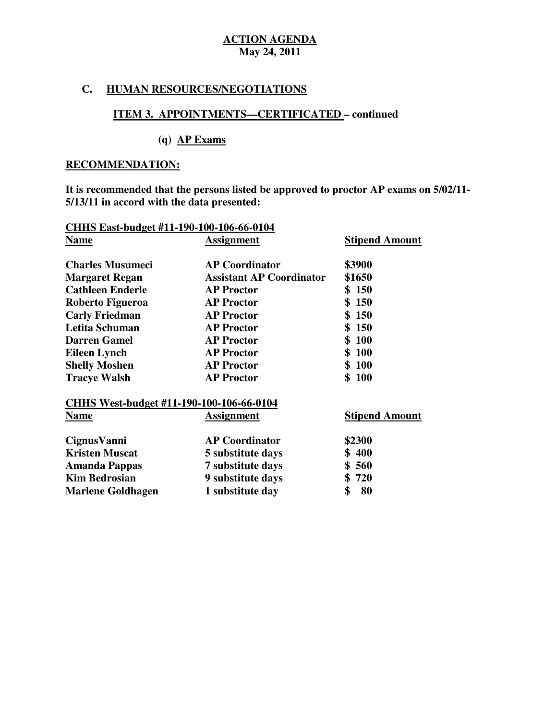## **C. HUMAN RESOURCES/NEGOTIATIONS**

## **ITEM 3. APPOINTMENTS—CERTIFICATED – continued**

# **(q) AP Exams**

## **RECOMMENDATION:**

 **It is recommended that the persons listed be approved to proctor AP exams on 5/02/11 5/13/11 in accord with the data presented:** 

| CHHS East-budget #11-190-100-106-66-0104 |                                 |                       |  |  |
|------------------------------------------|---------------------------------|-----------------------|--|--|
| <b>Name</b>                              | <b>Assignment</b>               | <b>Stipend Amount</b> |  |  |
| <b>Charles Musumeci</b>                  | <b>AP Coordinator</b>           | \$3900                |  |  |
| <b>Margaret Regan</b>                    | <b>Assistant AP Coordinator</b> | \$1650                |  |  |
| <b>Cathleen Enderle</b>                  | <b>AP Proctor</b>               | \$150                 |  |  |
| Roberto Figueroa                         | <b>AP Proctor</b>               | \$150                 |  |  |
| <b>Carly Friedman</b>                    | <b>AP Proctor</b>               | \$<br><b>150</b>      |  |  |
| Letita Schuman                           | <b>AP Proctor</b>               | <b>150</b><br>\$      |  |  |
| <b>Darren Gamel</b>                      | <b>AP Proctor</b>               | \$100                 |  |  |
| <b>Eileen Lynch</b>                      | <b>AP Proctor</b>               | <b>100</b><br>\$      |  |  |
| <b>Shelly Moshen</b>                     | <b>AP Proctor</b>               | <b>100</b><br>\$      |  |  |
| <b>Tracye Walsh</b>                      | <b>AP Proctor</b>               | \$100                 |  |  |
| CHHS West-budget #11-190-100-106-66-0104 |                                 |                       |  |  |
| <b>Name</b>                              | Assignment                      | <b>Stipend Amount</b> |  |  |
| CignusVanni                              | <b>AP Coordinator</b>           | \$2300                |  |  |
| <b>Kristen Muscat</b>                    | 5 substitute days               | \$400                 |  |  |
| <b>Amanda Pappas</b>                     | 7 substitute days               | \$560                 |  |  |
| <b>Kim Bedrosian</b>                     | 9 substitute days               | \$720                 |  |  |
| <b>Marlene Goldhagen</b>                 | 1 substitute day                | \$<br>80              |  |  |
|                                          |                                 |                       |  |  |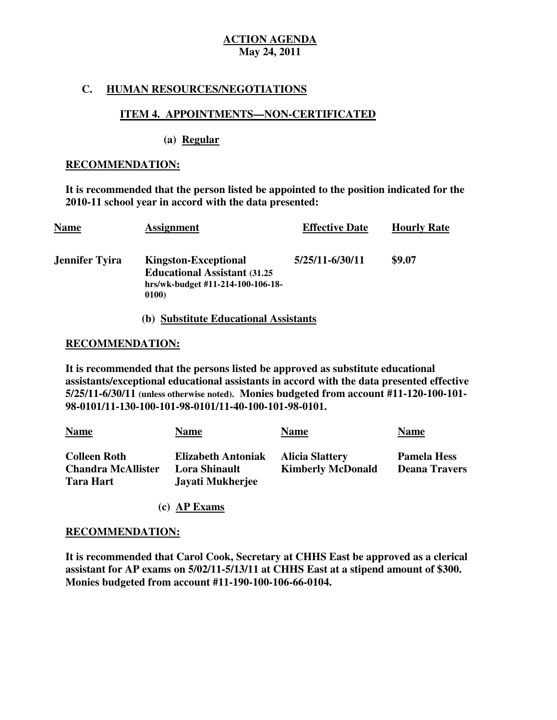## **C. HUMAN RESOURCES/NEGOTIATIONS**

## **ITEM 4. APPOINTMENTS—NON-CERTIFICATED**

### **(a) Regular**

#### **RECOMMENDATION:**

 **It is recommended that the person listed be appointed to the position indicated for the 2010-11 school year in accord with the data presented:** 

| <b>Name</b>    | <b>Assignment</b>                                                                                                 | <b>Effective Date</b> | <b>Hourly Rate</b> |
|----------------|-------------------------------------------------------------------------------------------------------------------|-----------------------|--------------------|
| Jennifer Tyira | <b>Kingston-Exceptional</b><br><b>Educational Assistant (31.25)</b><br>hrs/wk-budget #11-214-100-106-18-<br>0100) | 5/25/11-6/30/11       | \$9.07             |

#### **(b) Substitute Educational Assistants**

## **RECOMMENDATION:**

 **It is recommended that the persons listed be approved as substitute educational assistants/exceptional educational assistants in accord with the data presented effective 5/25/11-6/30/11 (unless otherwise noted). Monies budgeted from account #11-120-100-101 98-0101/11-130-100-101-98-0101/11-40-100-101-98-0101.** 

| <b>Name</b>                                                          | Name                                                           | <b>Name</b>                                        | <b>Name</b>                                |
|----------------------------------------------------------------------|----------------------------------------------------------------|----------------------------------------------------|--------------------------------------------|
| <b>Colleen Roth</b><br><b>Chandra McAllister</b><br><b>Tara Hart</b> | <b>Elizabeth Antoniak</b><br>Lora Shinault<br>Javati Mukherjee | <b>Alicia Slattery</b><br><b>Kimberly McDonald</b> | <b>Pamela Hess</b><br><b>Deana Travers</b> |

**(c) AP Exams** 

#### **RECOMMENDATION:**

 **It is recommended that Carol Cook, Secretary at CHHS East be approved as a clerical assistant for AP exams on 5/02/11-5/13/11 at CHHS East at a stipend amount of \$300. Monies budgeted from account #11-190-100-106-66-0104.**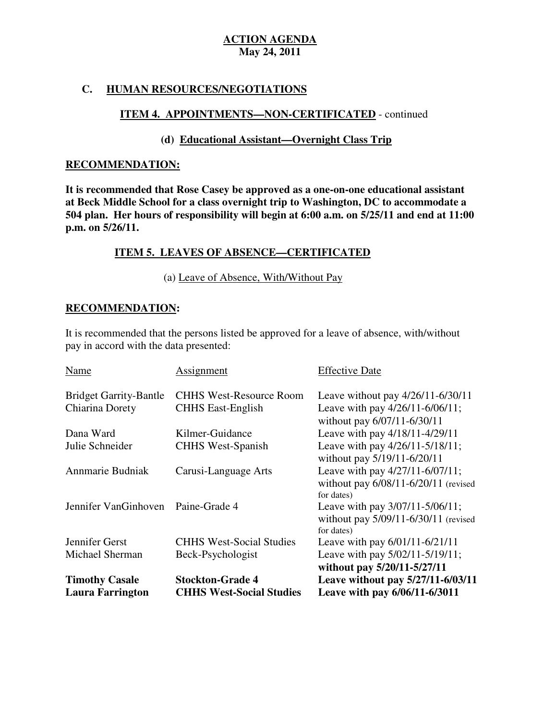## **C. HUMAN RESOURCES/NEGOTIATIONS**

## **ITEM 4. APPOINTMENTS—NON-CERTIFICATED** - continued

## **(d) Educational Assistant—Overnight Class Trip**

#### **RECOMMENDATION:**

 **It is recommended that Rose Casey be approved as a one-on-one educational assistant at Beck Middle School for a class overnight trip to Washington, DC to accommodate a 504 plan. Her hours of responsibility will begin at 6:00 a.m. on 5/25/11 and end at 11:00 p.m. on 5/26/11.** 

## **ITEM 5. LEAVES OF ABSENCE—CERTIFICATED**

## (a) Leave of Absence, With/Without Pay

## **RECOMMENDATION:**

 It is recommended that the persons listed be approved for a leave of absence, with/without pay in accord with the data presented:

| <b>Name</b>                   | Assignment                      | <b>Effective Date</b>                                                                     |
|-------------------------------|---------------------------------|-------------------------------------------------------------------------------------------|
| <b>Bridget Garrity-Bantle</b> | <b>CHHS West-Resource Room</b>  | Leave without pay $4/26/11 - 6/30/11$                                                     |
| Chiarina Dorety               | <b>CHHS East-English</b>        | Leave with pay 4/26/11-6/06/11;<br>without pay 6/07/11-6/30/11                            |
| Dana Ward                     | Kilmer-Guidance                 | Leave with pay 4/18/11-4/29/11                                                            |
| Julie Schneider               | <b>CHHS West-Spanish</b>        | Leave with pay 4/26/11-5/18/11;<br>without pay 5/19/11-6/20/11                            |
| Annmarie Budniak              | Carusi-Language Arts            | Leave with pay 4/27/11-6/07/11;<br>without pay $6/08/11 - 6/20/11$ (revised<br>for dates) |
| Jennifer VanGinhoven          | Paine-Grade 4                   | Leave with pay 3/07/11-5/06/11;<br>without pay 5/09/11-6/30/11 (revised<br>for dates)     |
| Jennifer Gerst                | <b>CHHS West-Social Studies</b> | Leave with pay 6/01/11-6/21/11                                                            |
| Michael Sherman               | Beck-Psychologist               | Leave with pay 5/02/11-5/19/11;<br>without pay 5/20/11-5/27/11                            |
| <b>Timothy Casale</b>         | <b>Stockton-Grade 4</b>         | Leave without pay 5/27/11-6/03/11                                                         |
| <b>Laura Farrington</b>       | <b>CHHS West-Social Studies</b> | Leave with pay 6/06/11-6/3011                                                             |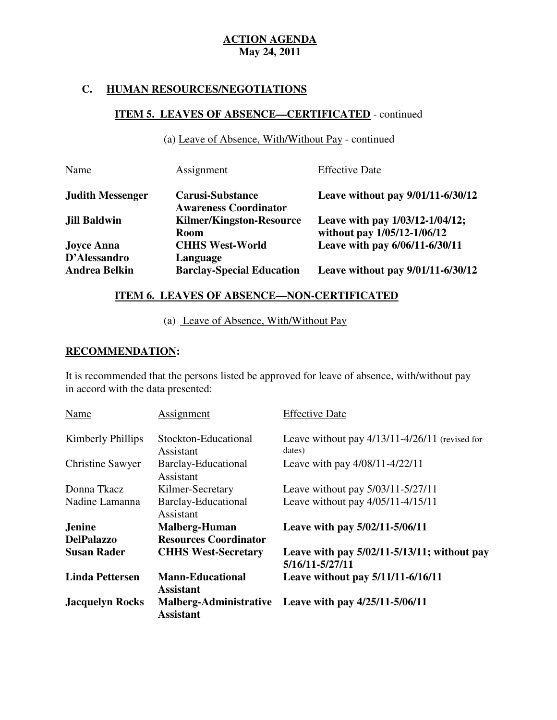# **C. HUMAN RESOURCES/NEGOTIATIONS**

# **ITEM 5. LEAVES OF ABSENCE—CERTIFICATED** - continued

(a) Leave of Absence, With/Without Pay - continued

| Name                    | Assignment                                              | <b>Effective Date</b>                                          |
|-------------------------|---------------------------------------------------------|----------------------------------------------------------------|
| <b>Judith Messenger</b> | <b>Carusi-Substance</b><br><b>Awareness Coordinator</b> | Leave without pay 9/01/11-6/30/12                              |
| <b>Jill Baldwin</b>     | <b>Kilmer/Kingston-Resource</b><br><b>Room</b>          | Leave with pay 1/03/12-1/04/12;<br>without pay 1/05/12-1/06/12 |
| <b>Joyce Anna</b>       | <b>CHHS West-World</b>                                  | Leave with pay 6/06/11-6/30/11                                 |
| D'Alessandro            | Language                                                |                                                                |
| <b>Andrea Belkin</b>    | <b>Barclay-Special Education</b>                        | Leave without pay 9/01/11-6/30/12                              |

## **ITEM 6. LEAVES OF ABSENCE—NON-CERTIFICATED**

(a) Leave of Absence, With/Without Pay

## **RECOMMENDATION:**

 It is recommended that the persons listed be approved for leave of absence, with/without pay in accord with the data presented:

| Name                    | Assignment                                  | <b>Effective Date</b>                                               |
|-------------------------|---------------------------------------------|---------------------------------------------------------------------|
| Kimberly Phillips       | Stockton-Educational<br>Assistant           | Leave without pay $4/13/11-4/26/11$ (revised for<br>dates)          |
| <b>Christine Sawyer</b> | <b>Barclay-Educational</b><br>Assistant     | Leave with pay 4/08/11-4/22/11                                      |
| Donna Tkacz             | Kilmer-Secretary                            | Leave without pay 5/03/11-5/27/11                                   |
| Nadine Lamanna          | <b>Barclay-Educational</b><br>Assistant     | Leave without pay 4/05/11-4/15/11                                   |
| <b>Jenine</b>           | <b>Malberg-Human</b>                        | Leave with pay 5/02/11-5/06/11                                      |
| <b>DelPalazzo</b>       | <b>Resources Coordinator</b>                |                                                                     |
| <b>Susan Rader</b>      | <b>CHHS West-Secretary</b>                  | Leave with pay $5/02/11 - 5/13/11$ ; without pay<br>5/16/11-5/27/11 |
| <b>Linda Pettersen</b>  | <b>Mann-Educational</b><br><b>Assistant</b> | Leave without pay 5/11/11-6/16/11                                   |
| <b>Jacquelyn Rocks</b>  | <b>Assistant</b>                            | Malberg-Administrative Leave with pay 4/25/11-5/06/11               |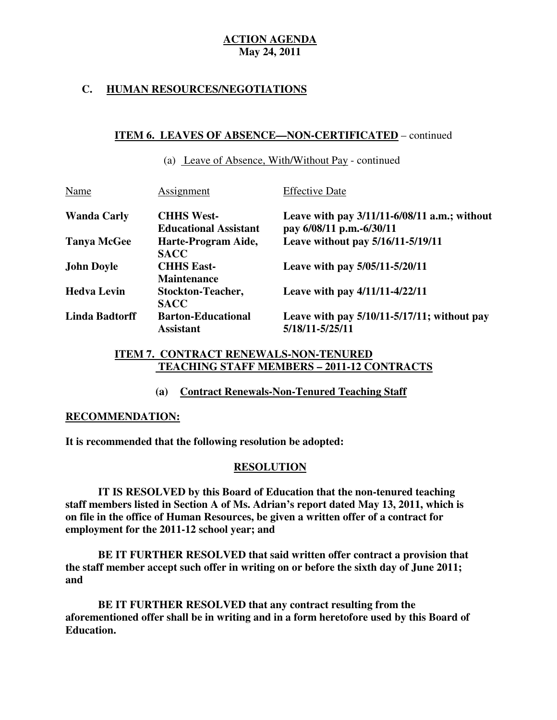## **C. HUMAN RESOURCES/NEGOTIATIONS**

## **ITEM 6. LEAVES OF ABSENCE—NON-CERTIFICATED** – continued

|      | (a) Leave of Absence, With/Without Pay - continued |                       |  |
|------|----------------------------------------------------|-----------------------|--|
| Name | Assignment                                         | <b>Effective Date</b> |  |

| <b>Wanda Carly</b> | <b>CHHS West-</b>            | Leave with pay $3/11/11 - 6/08/11$ a.m.; without |
|--------------------|------------------------------|--------------------------------------------------|
|                    | <b>Educational Assistant</b> | pay 6/08/11 p.m.-6/30/11                         |
| <b>Tanya McGee</b> | Harte-Program Aide,          | Leave without pay 5/16/11-5/19/11                |
|                    | <b>SACC</b>                  |                                                  |
| <b>John Doyle</b>  | <b>CHHS East-</b>            | Leave with pay 5/05/11-5/20/11                   |
|                    | <b>Maintenance</b>           |                                                  |
| <b>Hedva Levin</b> | <b>Stockton-Teacher,</b>     | Leave with pay 4/11/11-4/22/11                   |
|                    | <b>SACC</b>                  |                                                  |
| Linda Badtorff     | <b>Barton-Educational</b>    | Leave with pay $5/10/11 - 5/17/11$ ; without pay |
|                    | <b>Assistant</b>             | 5/18/11-5/25/11                                  |
|                    |                              |                                                  |

## **ITEM 7. CONTRACT RENEWALS-NON-TENURED TEACHING STAFF MEMBERS – 2011-12 CONTRACTS**

## **(a) Contract Renewals-Non-Tenured Teaching Staff**

## **RECOMMENDATION:**

 **It is recommended that the following resolution be adopted:** 

## **RESOLUTION**

 **IT IS RESOLVED by this Board of Education that the non-tenured teaching staff members listed in Section A of Ms. Adrian's report dated May 13, 2011, which is on file in the office of Human Resources, be given a written offer of a contract for employment for the 2011-12 school year; and** 

 **BE IT FURTHER RESOLVED that said written offer contract a provision that the staff member accept such offer in writing on or before the sixth day of June 2011; and** 

 **BE IT FURTHER RESOLVED that any contract resulting from the aforementioned offer shall be in writing and in a form heretofore used by this Board of Education.**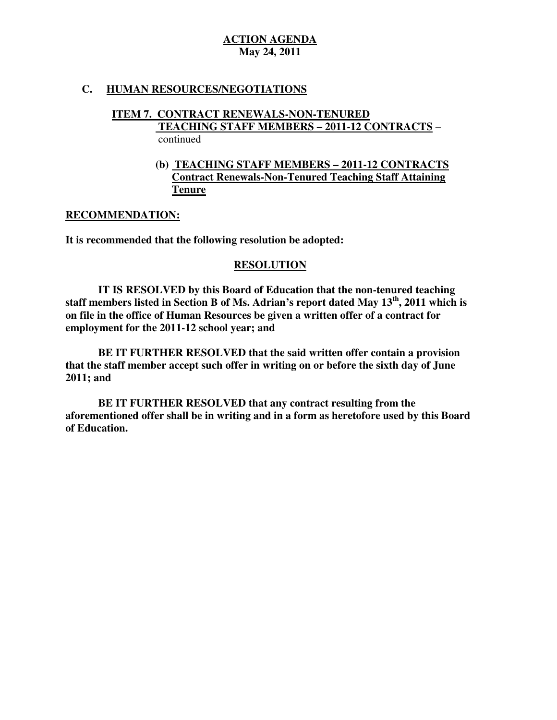## **C. HUMAN RESOURCES/NEGOTIATIONS**

#### **ITEM 7. CONTRACT RENEWALS-NON-TENURED TEACHING STAFF MEMBERS – 2011-12 CONTRACTS** – continued

## **(b) TEACHING STAFF MEMBERS – 2011-12 CONTRACTS Contract Renewals-Non-Tenured Teaching Staff Attaining Tenure**

## **RECOMMENDATION:**

 **It is recommended that the following resolution be adopted:** 

## **RESOLUTION**

 **IT IS RESOLVED by this Board of Education that the non-tenured teaching staff members listed in Section B of Ms. Adrian's report dated May 13th, 2011 which is on file in the office of Human Resources be given a written offer of a contract for employment for the 2011-12 school year; and** 

 **BE IT FURTHER RESOLVED that the said written offer contain a provision that the staff member accept such offer in writing on or before the sixth day of June 2011; and** 

 **BE IT FURTHER RESOLVED that any contract resulting from the aforementioned offer shall be in writing and in a form as heretofore used by this Board of Education.**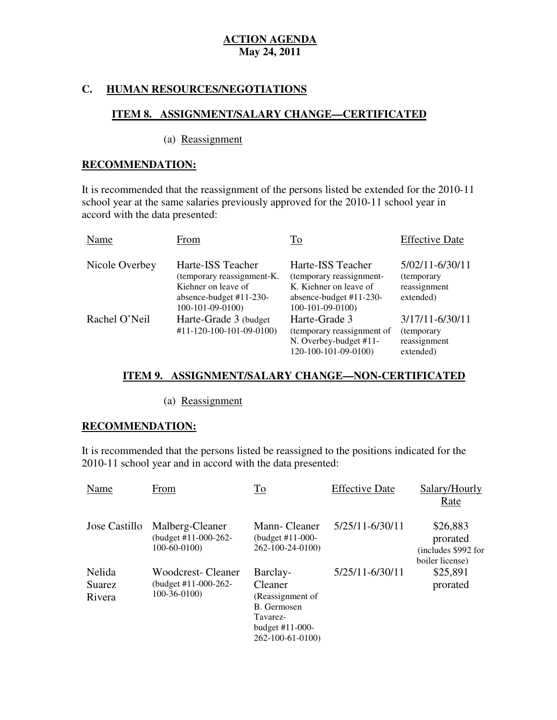## **C. HUMAN RESOURCES/NEGOTIATIONS**

## **ITEM 8. ASSIGNMENT/SALARY CHANGE—CERTIFICATED**

(a) Reassignment

## **RECOMMENDATION:**

 It is recommended that the reassignment of the persons listed be extended for the 2010-11 school year at the same salaries previously approved for the 2010-11 school year in accord with the data presented:

| Name           | From                                                                                                                    | To                                                                                                                        | <b>Effective Date</b>                                       |
|----------------|-------------------------------------------------------------------------------------------------------------------------|---------------------------------------------------------------------------------------------------------------------------|-------------------------------------------------------------|
| Nicole Overbey | Harte-ISS Teacher<br>(temporary reassignment-K.<br>Kiehner on leave of<br>absence-budget $#11-230-$<br>100-101-09-0100) | Harte-ISS Teacher<br>(temporary reassignment-<br>K. Kiehner on leave of<br>absence-budget $#11-230-$<br>$100-101-09-0100$ | 5/02/11-6/30/11<br>(temporary)<br>reassignment<br>extended) |
| Rachel O'Neil  | Harte-Grade 3 (budget)<br>$#11 - 120 - 100 - 101 - 09 - 0100$                                                           | Harte-Grade 3<br>(temporary reassignment of<br>N. Overbey-budget #11-<br>120-100-101-09-0100)                             | 3/17/11-6/30/11<br>(temporary)<br>reassignment<br>extended) |

## **ITEM 9. ASSIGNMENT/SALARY CHANGE—NON-CERTIFICATED**

(a) Reassignment

# **RECOMMENDATION:**

 It is recommended that the persons listed be reassigned to the positions indicated for the 2010-11 school year and in accord with the data presented:

| Name                              | From                                                          | To                                                                                                          | <b>Effective Date</b> | Salary/Hourly<br>Rate                                          |
|-----------------------------------|---------------------------------------------------------------|-------------------------------------------------------------------------------------------------------------|-----------------------|----------------------------------------------------------------|
| Jose Castillo                     | Malberg-Cleaner<br>(budget #11-000-262-<br>$100-60-0100$      | Mann-Cleaner<br>(budget #11-000-<br>262-100-24-0100)                                                        | 5/25/11-6/30/11       | \$26,883<br>prorated<br>(includes \$992 for<br>boiler license) |
| Nelida<br><b>Suarez</b><br>Rivera | Woodcrest- Cleaner<br>(budget $#11-000-262-$<br>$100-36-0100$ | Barclay-<br>Cleaner<br>(Reassignment of<br>B. Germosen<br>Tavarez-<br>budget $#11-000-$<br>262-100-61-0100) | 5/25/11-6/30/11       | \$25,891<br>prorated                                           |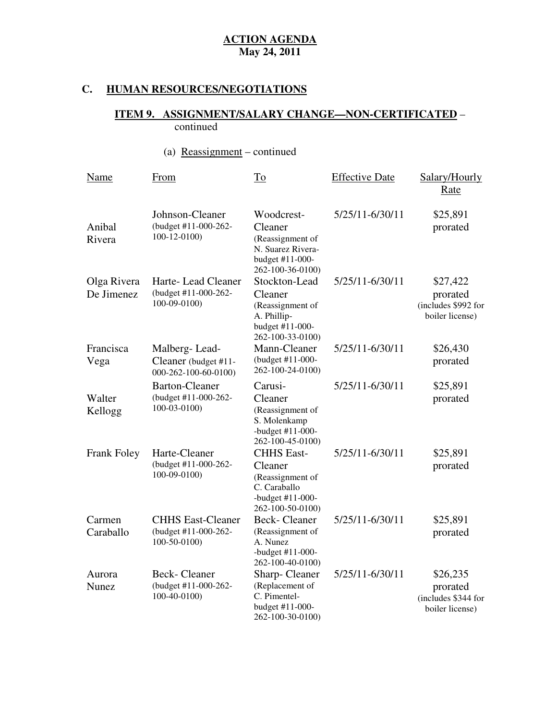# **C. HUMAN RESOURCES/NEGOTIATIONS**

#### **ITEM 9. ASSIGNMENT/SALARY CHANGE—NON-CERTIFICATED** – continued

# (a) Reassignment – continued

| Name                      | From                                                               | $\underline{\operatorname{To}}$                                                                            | <b>Effective Date</b> | Salary/Hourly<br>Rate                                          |
|---------------------------|--------------------------------------------------------------------|------------------------------------------------------------------------------------------------------------|-----------------------|----------------------------------------------------------------|
| Anibal<br>Rivera          | Johnson-Cleaner<br>(budget #11-000-262-<br>$100 - 12 - 0100$       | Woodcrest-<br>Cleaner<br>(Reassignment of<br>N. Suarez Rivera-<br>budget #11-000-<br>262-100-36-0100)      | 5/25/11-6/30/11       | \$25,891<br>prorated                                           |
| Olga Rivera<br>De Jimenez | Harte-Lead Cleaner<br>(budget #11-000-262-<br>$100-09-0100$        | Stockton-Lead<br>Cleaner<br>(Reassignment of<br>A. Phillip-<br>budget #11-000-<br>262-100-33-0100)         | 5/25/11-6/30/11       | \$27,422<br>prorated<br>(includes \$992 for<br>boiler license) |
| Francisca<br>Vega         | Malberg-Lead-<br>Cleaner (budget #11-<br>000-262-100-60-0100)      | Mann-Cleaner<br>(budget #11-000-<br>262-100-24-0100)                                                       | 5/25/11-6/30/11       | \$26,430<br>prorated                                           |
| Walter<br>Kellogg         | <b>Barton-Cleaner</b><br>(budget #11-000-262-<br>$100 - 03 - 0100$ | Carusi-<br>Cleaner<br>(Reassignment of<br>S. Molenkamp<br>-budget $#11-000-$<br>262-100-45-0100)           | 5/25/11-6/30/11       | \$25,891<br>prorated                                           |
| <b>Frank Foley</b>        | Harte-Cleaner<br>(budget #11-000-262-<br>100-09-0100)              | <b>CHHS East-</b><br>Cleaner<br>(Reassignment of<br>C. Caraballo<br>-budget $#11-000-$<br>262-100-50-0100) | 5/25/11-6/30/11       | \$25,891<br>prorated                                           |
| Carmen<br>Caraballo       | <b>CHHS East-Cleaner</b><br>(budget #11-000-262-<br>$100-50-0100$  | <b>Beck-Cleaner</b><br>(Reassignment of<br>A. Nunez<br>-budget #11-000-<br>262-100-40-0100)                | 5/25/11-6/30/11       | \$25,891<br>prorated                                           |
| Aurora<br><b>Nunez</b>    | <b>Beck-Cleaner</b><br>(budget #11-000-262-<br>100-40-0100)        | Sharp-Cleaner<br>(Replacement of<br>C. Pimentel-<br>budget #11-000-<br>262-100-30-0100)                    | 5/25/11-6/30/11       | \$26,235<br>prorated<br>(includes \$344 for<br>boiler license) |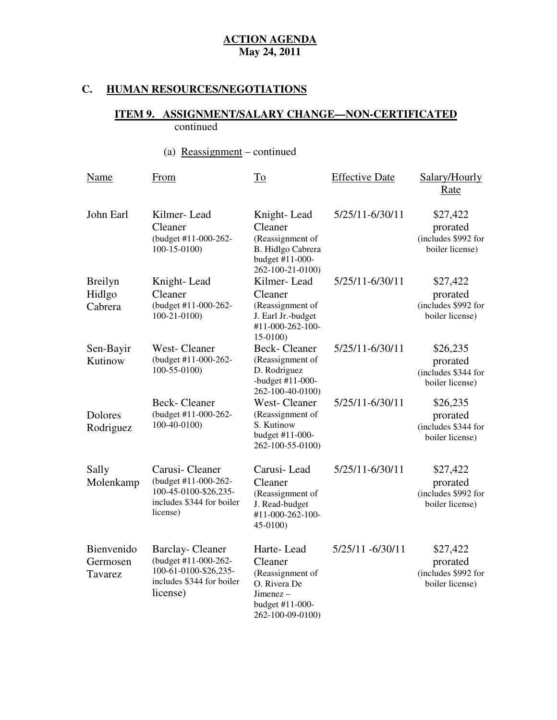# **C. HUMAN RESOURCES/NEGOTIATIONS**

#### **ITEM 9. ASSIGNMENT/SALARY CHANGE—NON-CERTIFICATED**  continued

# (a) Reassignment – continued

| Name                                | From                                                                                                             | To                                                                                                            | <b>Effective Date</b> | Salary/Hourly<br>Rate                                          |
|-------------------------------------|------------------------------------------------------------------------------------------------------------------|---------------------------------------------------------------------------------------------------------------|-----------------------|----------------------------------------------------------------|
| John Earl                           | Kilmer-Lead<br>Cleaner<br>(budget #11-000-262-<br>$100-15-0100$                                                  | Knight-Lead<br>Cleaner<br>(Reassignment of<br>B. Hidlgo Cabrera<br>budget #11-000-<br>262-100-21-0100)        | 5/25/11-6/30/11       | \$27,422<br>prorated<br>(includes \$992 for<br>boiler license) |
| <b>Breilyn</b><br>Hidlgo<br>Cabrera | Knight-Lead<br>Cleaner<br>(budget #11-000-262-<br>$100-21-0100$                                                  | Kilmer-Lead<br>Cleaner<br>(Reassignment of<br>J. Earl Jr.-budget<br>#11-000-262-100-<br>15-0100)              | 5/25/11-6/30/11       | \$27,422<br>prorated<br>(includes \$992 for<br>boiler license) |
| Sen-Bayir<br>Kutinow                | West-Cleaner<br>(budget #11-000-262-<br>$100-55-0100$                                                            | <b>Beck-Cleaner</b><br>(Reassignment of<br>D. Rodriguez<br>-budget $#11-000-$<br>262-100-40-0100)             | 5/25/11-6/30/11       | \$26,235<br>prorated<br>(includes \$344 for<br>boiler license) |
| Dolores<br>Rodriguez                | <b>Beck-Cleaner</b><br>(budget #11-000-262-<br>100-40-0100)                                                      | <b>West-Cleaner</b><br>(Reassignment of<br>S. Kutinow<br>budget #11-000-<br>262-100-55-0100)                  | 5/25/11-6/30/11       | \$26,235<br>prorated<br>(includes \$344 for<br>boiler license) |
| Sally<br>Molenkamp                  | Carusi-Cleaner<br>(budget #11-000-262-<br>100-45-0100-\$26,235-<br>includes \$344 for boiler<br>license)         | Carusi-Lead<br>Cleaner<br>(Reassignment of<br>J. Read-budget<br>#11-000-262-100-<br>45-0100)                  | 5/25/11-6/30/11       | \$27,422<br>prorated<br>(includes \$992 for<br>boiler license) |
| Bienvenido<br>Germosen<br>Tavarez   | <b>Barclay-Cleaner</b><br>(budget #11-000-262-<br>100-61-0100-\$26,235-<br>includes \$344 for boiler<br>license) | Harte-Lead<br>Cleaner<br>(Reassignment of<br>O. Rivera De<br>Jimenez –<br>budget #11-000-<br>262-100-09-0100) | 5/25/11 -6/30/11      | \$27,422<br>prorated<br>(includes \$992 for<br>boiler license) |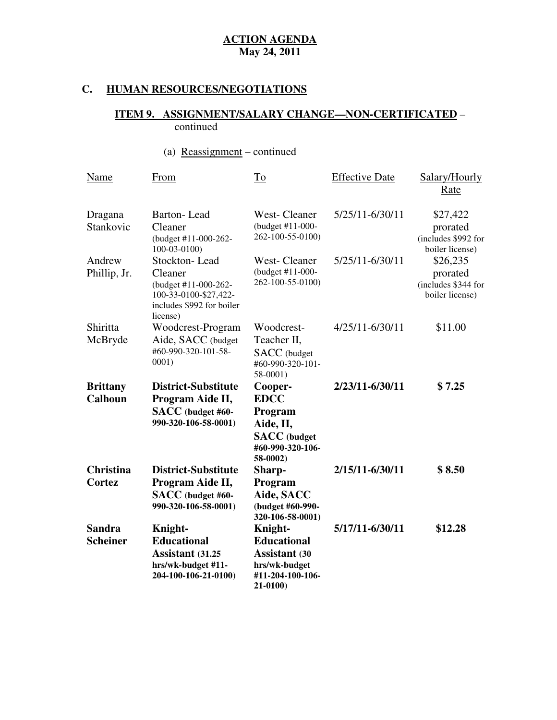# **C. HUMAN RESOURCES/NEGOTIATIONS**

#### **ITEM 9. ASSIGNMENT/SALARY CHANGE—NON-CERTIFICATED** – continued

# (a) Reassignment – continued

| Name                              | From                                                                                                               | $\overline{\text{To}}$                                                                                 | <b>Effective Date</b> | Salary/Hourly<br>Rate                                          |
|-----------------------------------|--------------------------------------------------------------------------------------------------------------------|--------------------------------------------------------------------------------------------------------|-----------------------|----------------------------------------------------------------|
| Dragana<br>Stankovic              | <b>Barton-Lead</b><br>Cleaner<br>(budget #11-000-262-<br>$100 - 03 - 0100$                                         | <b>West-Cleaner</b><br>(budget #11-000-<br>262-100-55-0100)                                            | 5/25/11-6/30/11       | \$27,422<br>prorated<br>(includes \$992 for<br>boiler license) |
| Andrew<br>Phillip, Jr.            | Stockton-Lead<br>Cleaner<br>(budget #11-000-262-<br>100-33-0100-\$27,422-<br>includes \$992 for boiler<br>license) | <b>West-Cleaner</b><br>(budget #11-000-<br>262-100-55-0100)                                            | 5/25/11-6/30/11       | \$26,235<br>prorated<br>(includes \$344 for<br>boiler license) |
| Shiritta<br>McBryde               | Woodcrest-Program<br>Aide, SACC (budget<br>#60-990-320-101-58-<br>0001)                                            | Woodcrest-<br>Teacher II,<br>SACC (budget<br>#60-990-320-101-<br>58-0001)                              | $4/25/11 - 6/30/11$   | \$11.00                                                        |
| <b>Brittany</b><br><b>Calhoun</b> | <b>District-Substitute</b><br>Program Aide II,<br>SACC (budget #60-<br>990-320-106-58-0001)                        | Cooper-<br><b>EDCC</b><br>Program<br>Aide, II,<br><b>SACC</b> (budget<br>#60-990-320-106-<br>58-0002)  | 2/23/11-6/30/11       | \$7.25                                                         |
| <b>Christina</b><br>Cortez        | <b>District-Substitute</b><br>Program Aide II,<br>SACC (budget #60-<br>990-320-106-58-0001)                        | Sharp-<br>Program<br>Aide, SACC<br>(budget #60-990-<br>320-106-58-0001)                                | 2/15/11-6/30/11       | \$8.50                                                         |
| <b>Sandra</b><br><b>Scheiner</b>  | <b>Knight-</b><br><b>Educational</b><br><b>Assistant (31.25</b><br>hrs/wk-budget #11-<br>204-100-106-21-0100)      | Knight-<br><b>Educational</b><br><b>Assistant (30</b><br>hrs/wk-budget<br>#11-204-100-106-<br>21-0100) | 5/17/11-6/30/11       | \$12.28                                                        |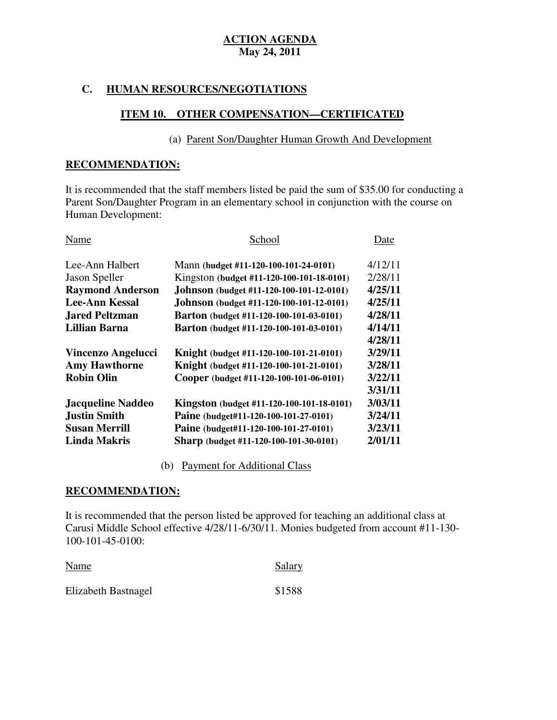## **C. HUMAN RESOURCES/NEGOTIATIONS**

## **ITEM 10. OTHER COMPENSATION—CERTIFICATED**

## (a) Parent Son/Daughter Human Growth And Development

### **RECOMMENDATION:**

 It is recommended that the staff members listed be paid the sum of \$35.00 for conducting a Parent Son/Daughter Program in an elementary school in conjunction with the course on Human Development:

| Name                      | School                                           | Date    |
|---------------------------|--------------------------------------------------|---------|
| Lee-Ann Halbert           | Mann (budget #11-120-100-101-24-0101)            | 4/12/11 |
| Jason Speller             | Kingston (budget #11-120-100-101-18-0101)        | 2/28/11 |
| <b>Raymond Anderson</b>   | Johnson (budget #11-120-100-101-12-0101)         | 4/25/11 |
| <b>Lee-Ann Kessal</b>     | Johnson (budget #11-120-100-101-12-0101)         | 4/25/11 |
| <b>Jared Peltzman</b>     | Barton (budget #11-120-100-101-03-0101)          | 4/28/11 |
| <b>Lillian Barna</b>      | Barton (budget #11-120-100-101-03-0101)          | 4/14/11 |
|                           |                                                  | 4/28/11 |
| <b>Vincenzo Angelucci</b> | Knight (budget #11-120-100-101-21-0101)          | 3/29/11 |
| <b>Amy Hawthorne</b>      | Knight (budget #11-120-100-101-21-0101)          | 3/28/11 |
| <b>Robin Olin</b>         | Cooper (budget #11-120-100-101-06-0101)          | 3/22/11 |
|                           |                                                  | 3/31/11 |
| <b>Jacqueline Naddeo</b>  | <b>Kingston</b> (budget #11-120-100-101-18-0101) | 3/03/11 |
| <b>Justin Smith</b>       | Paine (budget#11-120-100-101-27-0101)            | 3/24/11 |
| Susan Merrill             | Paine (budget#11-120-100-101-27-0101)            | 3/23/11 |
| <b>Linda Makris</b>       | Sharp (budget #11-120-100-101-30-0101)           | 2/01/11 |

(b) Payment for Additional Class

## **RECOMMENDATION:**

 It is recommended that the person listed be approved for teaching an additional class at Carusi Middle School effective 4/28/11-6/30/11. Monies budgeted from account #11-130 100-101-45-0100:

| Name                | Salary |
|---------------------|--------|
| Elizabeth Bastnagel | \$1588 |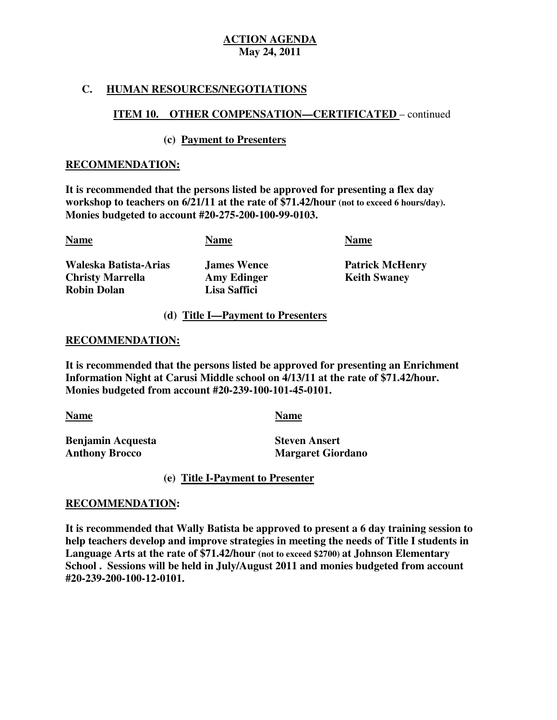## **C. HUMAN RESOURCES/NEGOTIATIONS**

## **ITEM 10. OTHER COMPENSATION—CERTIFICATED** – continued

## **(c) Payment to Presenters**

### **RECOMMENDATION:**

 **It is recommended that the persons listed be approved for presenting a flex day workshop to teachers on 6/21/11 at the rate of \$71.42/hour (not to exceed 6 hours/day). Monies budgeted to account #20-275-200-100-99-0103.** 

| <b>Name</b>             | <b>Name</b>        | <b>Name</b>  |
|-------------------------|--------------------|--------------|
| Waleska Batista-Arias   | <b>James Wence</b> | Patric       |
| <b>Christy Marrella</b> | <b>Amy Edinger</b> | <b>Keith</b> |
| <b>Robin Dolan</b>      | Lisa Saffici       |              |

**James Wence** Amy Edinger **Keith Swaney Lisa Saffici** 

**Patrick McHenry** 

### **(d) Title I—Payment to Presenters**

#### **RECOMMENDATION:**

 **It is recommended that the persons listed be approved for presenting an Enrichment Information Night at Carusi Middle school on 4/13/11 at the rate of \$71.42/hour. Monies budgeted from account #20-239-100-101-45-0101.** 

Name

**Benjamin Acquesta Anthony Brocco** <u>Name Name Name</u><br>Benjamin Acquesta Steven Ansert

**Margaret Giordano** 

**(e) Title I-Payment to Presenter** 

## **RECOMMENDATION:**

 **It is recommended that Wally Batista be approved to present a 6 day training session to help teachers develop and improve strategies in meeting the needs of Title I students in Language Arts at the rate of \$71.42/hour (not to exceed \$2700) at Johnson Elementary School . Sessions will be held in July/August 2011 and monies budgeted from account #20-239-200-100-12-0101.**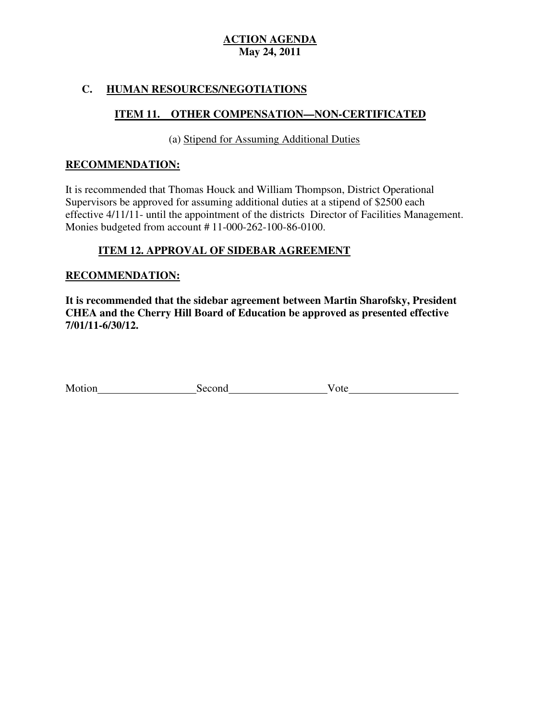## **C. HUMAN RESOURCES/NEGOTIATIONS**

# **ITEM 11. OTHER COMPENSATION—NON-CERTIFICATED**

(a) Stipend for Assuming Additional Duties

### **RECOMMENDATION:**

 It is recommended that Thomas Houck and William Thompson, District Operational Supervisors be approved for assuming additional duties at a stipend of \$2500 each effective 4/11/11- until the appointment of the districts Director of Facilities Management. Monies budgeted from account # 11-000-262-100-86-0100.

## **ITEM 12. APPROVAL OF SIDEBAR AGREEMENT**

## **RECOMMENDATION:**

 **It is recommended that the sidebar agreement between Martin Sharofsky, President CHEA and the Cherry Hill Board of Education be approved as presented effective 7/01/11-6/30/12.** 

| Motion | econd | ote |  |
|--------|-------|-----|--|
|--------|-------|-----|--|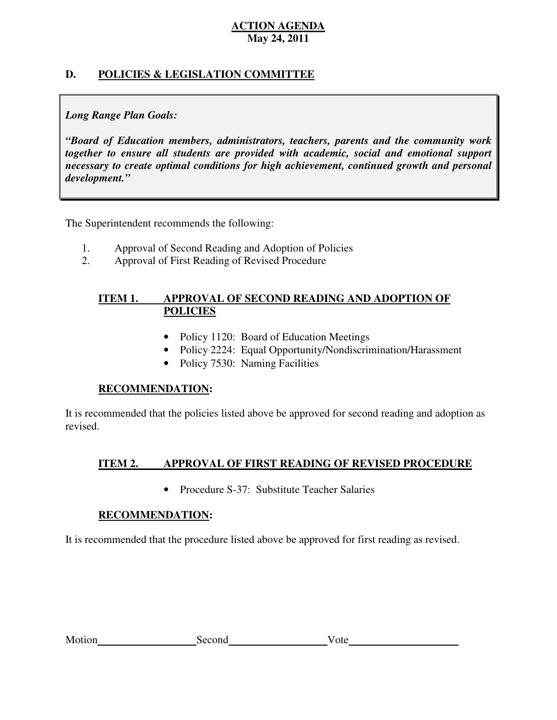## **D. POLICIES & LEGISLATION COMMITTEE**

## *Long Range Plan Goals:*

 *"Board of Education members, administrators, teachers, parents and the community work together to ensure all students are provided with academic, social and emotional support necessary to create optimal conditions for high achievement, continued growth and personal development."* 

The Superintendent recommends the following:

- 1. Approval of Second Reading and Adoption of Policies
- 2. Approval of First Reading of Revised Procedure

#### **ITEM 1. APPROVAL OF SECOND READING AND ADOPTION OF POLICIES**

- Policy 1120: Board of Education Meetings
- Policy 2224: Equal Opportunity/Nondiscrimination/Harassment
- Policy 7530: Naming Facilities

## **RECOMMENDATION:**

 It is recommended that the policies listed above be approved for second reading and adoption as revised.

#### **ITEM 2. APPROVAL OF FIRST READING OF REVISED PROCEDURE**

• Procedure S-37: Substitute Teacher Salaries

## **RECOMMENDATION:**

It is recommended that the procedure listed above be approved for first reading as revised.

| Motion |
|--------|
|--------|

Second  $\blacksquare$